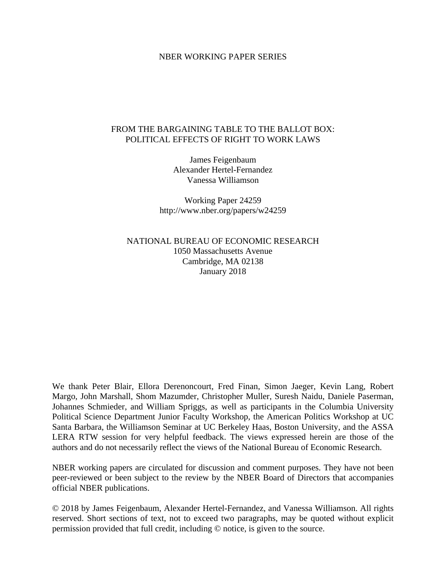# NBER WORKING PAPER SERIES

# FROM THE BARGAINING TABLE TO THE BALLOT BOX: POLITICAL EFFECTS OF RIGHT TO WORK LAWS

James Feigenbaum Alexander Hertel-Fernandez Vanessa Williamson

Working Paper 24259 http://www.nber.org/papers/w24259

NATIONAL BUREAU OF ECONOMIC RESEARCH 1050 Massachusetts Avenue Cambridge, MA 02138 January 2018

We thank Peter Blair, Ellora Derenoncourt, Fred Finan, Simon Jaeger, Kevin Lang, Robert Margo, John Marshall, Shom Mazumder, Christopher Muller, Suresh Naidu, Daniele Paserman, Johannes Schmieder, and William Spriggs, as well as participants in the Columbia University Political Science Department Junior Faculty Workshop, the American Politics Workshop at UC Santa Barbara, the Williamson Seminar at UC Berkeley Haas, Boston University, and the ASSA LERA RTW session for very helpful feedback. The views expressed herein are those of the authors and do not necessarily reflect the views of the National Bureau of Economic Research.

NBER working papers are circulated for discussion and comment purposes. They have not been peer-reviewed or been subject to the review by the NBER Board of Directors that accompanies official NBER publications.

© 2018 by James Feigenbaum, Alexander Hertel-Fernandez, and Vanessa Williamson. All rights reserved. Short sections of text, not to exceed two paragraphs, may be quoted without explicit permission provided that full credit, including © notice, is given to the source.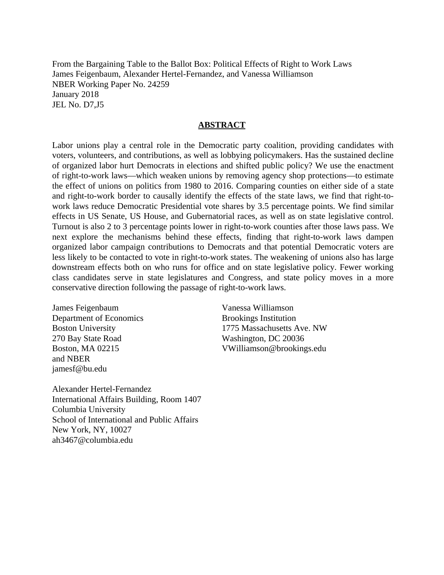From the Bargaining Table to the Ballot Box: Political Effects of Right to Work Laws James Feigenbaum, Alexander Hertel-Fernandez, and Vanessa Williamson NBER Working Paper No. 24259 January 2018 JEL No. D7,J5

# **ABSTRACT**

Labor unions play a central role in the Democratic party coalition, providing candidates with voters, volunteers, and contributions, as well as lobbying policymakers. Has the sustained decline of organized labor hurt Democrats in elections and shifted public policy? We use the enactment of right-to-work laws—which weaken unions by removing agency shop protections—to estimate the effect of unions on politics from 1980 to 2016. Comparing counties on either side of a state and right-to-work border to causally identify the effects of the state laws, we find that right-towork laws reduce Democratic Presidential vote shares by 3.5 percentage points. We find similar effects in US Senate, US House, and Gubernatorial races, as well as on state legislative control. Turnout is also 2 to 3 percentage points lower in right-to-work counties after those laws pass. We next explore the mechanisms behind these effects, finding that right-to-work laws dampen organized labor campaign contributions to Democrats and that potential Democratic voters are less likely to be contacted to vote in right-to-work states. The weakening of unions also has large downstream effects both on who runs for office and on state legislative policy. Fewer working class candidates serve in state legislatures and Congress, and state policy moves in a more conservative direction following the passage of right-to-work laws.

James Feigenbaum Department of Economics Boston University 270 Bay State Road Boston, MA 02215 and NBER jamesf@bu.edu

Vanessa Williamson Brookings Institution 1775 Massachusetts Ave. NW Washington, DC 20036 VWilliamson@brookings.edu

Alexander Hertel-Fernandez International Affairs Building, Room 1407 Columbia University School of International and Public Affairs New York, NY, 10027 ah3467@columbia.edu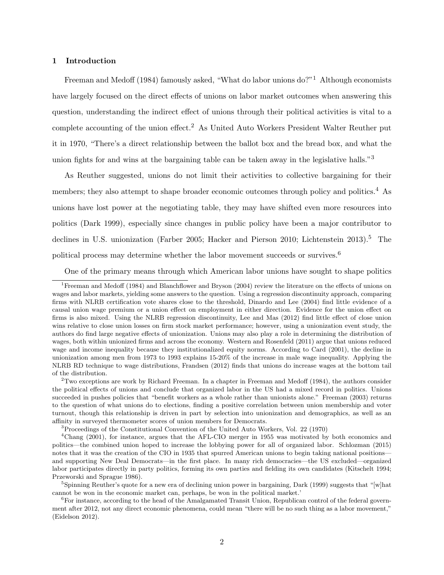## 1 Introduction

[Freeman and Medoff](#page-50-0) [\(1984\)](#page-50-0) famously asked, "What do labor unions  $\text{do}$ ?"<sup>[1](#page-2-0)</sup> Although economists have largely focused on the direct effects of unions on labor market outcomes when answering this question, understanding the indirect effect of unions through their political activities is vital to a complete accounting of the union effect.[2](#page-2-1) As United Auto Workers President Walter Reuther put it in 1970, "There's a direct relationship between the ballot box and the bread box, and what the union fights for and wins at the bargaining table can be taken away in the legislative halls."<sup>[3](#page-2-2)</sup>

As Reuther suggested, unions do not limit their activities to collective bargaining for their members; they also attempt to shape broader economic outcomes through policy and politics.<sup>[4](#page-2-3)</sup> As unions have lost power at the negotiating table, they may have shifted even more resources into politics [\(Dark 1999\)](#page-50-1), especially since changes in public policy have been a major contributor to declines in U.S. unionization [\(Farber 2005;](#page-50-2) [Hacker and Pierson 2010;](#page-51-0) [Lichtenstein 2013\)](#page-52-0).<sup>[5](#page-2-4)</sup> The political process may determine whether the labor movement succeeds or survives.[6](#page-2-5)

<span id="page-2-0"></span>One of the primary means through which American labor unions have sought to shape politics

<span id="page-2-3"></span><span id="page-2-2"></span><sup>3</sup>Proceedings of the Constitutional Convention of the United Auto Workers, Vol. 22 (1970)

<sup>1</sup>[Freeman and Medoff](#page-50-0) [\(1984\)](#page-50-0) and [Blanchflower and Bryson](#page-49-0) [\(2004\)](#page-49-0) review the literature on the effects of unions on wages and labor markets, yielding some answers to the question. Using a regression discontinuity approach, comparing firms with NLRB certification vote shares close to the threshold, [Dinardo and Lee](#page-50-3) [\(2004\)](#page-50-3) find little evidence of a causal union wage premium or a union effect on employment in either direction. Evidence for the union effect on firms is also mixed. Using the NLRB regression discontinuity, [Lee and Mas](#page-52-1) [\(2012\)](#page-52-1) find little effect of close union wins relative to close union losses on firm stock market performance; however, using a unionization event study, the authors do find large negative effects of unionization. Unions may also play a role in determining the distribution of wages, both within unionized firms and across the economy. [Western and Rosenfeld](#page-52-2) [\(2011\)](#page-52-2) argue that unions reduced wage and income inequality because they institutionalized equity norms. According to [Card](#page-49-1) [\(2001\)](#page-49-1), the decline in unionization among men from 1973 to 1993 explains 15-20% of the increase in male wage inequality. Applying the NLRB RD technique to wage distributions, [Frandsen](#page-50-4) [\(2012\)](#page-50-4) finds that unions do increase wages at the bottom tail of the distribution.

<span id="page-2-1"></span><sup>&</sup>lt;sup>2</sup>Two exceptions are work by Richard Freeman. In a chapter in [Freeman and Medoff](#page-50-0) [\(1984\)](#page-50-0), the authors consider the political effects of unions and conclude that organized labor in the US had a mixed record in politics. Unions succeeded in pushes policies that "benefit workers as a whole rather than unionists alone." [Freeman](#page-50-5) [\(2003\)](#page-50-5) returns to the question of what unions do to elections, finding a positive correlation between union membership and voter turnout, though this relationship is driven in part by selection into unionization and demographics, as well as an affinity in surveyed thermometer scores of union members for Democrats.

<sup>4</sup>[Chang](#page-49-2) [\(2001\)](#page-49-2), for instance, argues that the AFL-CIO merger in 1955 was motivated by both economics and politics—the combined union hoped to increase the lobbying power for all of organized labor. [Schlozman](#page-52-3) [\(2015\)](#page-52-3) notes that it was the creation of the CIO in 1935 that spurred American unions to begin taking national positions and supporting New Deal Democrats—in the first place. In many rich democracies—the US excluded—organized labor participates directly in party politics, forming its own parties and fielding its own candidates [\(Kitschelt 1994;](#page-51-1) [Przeworski and Sprague 1986\)](#page-52-4).

<span id="page-2-4"></span><sup>&</sup>lt;sup>5</sup>Spinning Reuther's quote for a new era of declining union power in bargaining, [Dark](#page-50-1) [\(1999\)](#page-50-1) suggests that "[w]hat cannot be won in the economic market can, perhaps, be won in the political market.'

<span id="page-2-5"></span> ${}^{6}$ For instance, according to the head of the Amalgamated Transit Union, Republican control of the federal government after 2012, not any direct economic phenomena, could mean "there will be no such thing as a labor movement," [\(Eidelson 2012\)](#page-50-6).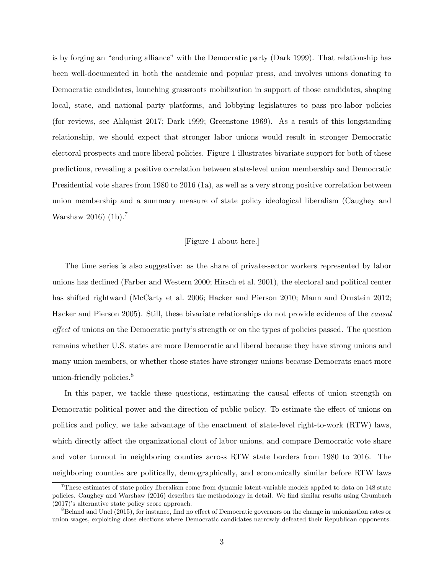is by forging an "enduring alliance" with the Democratic party [\(Dark 1999\)](#page-50-1). That relationship has been well-documented in both the academic and popular press, and involves unions donating to Democratic candidates, launching grassroots mobilization in support of those candidates, shaping local, state, and national party platforms, and lobbying legislatures to pass pro-labor policies (for reviews, see [Ahlquist 2017;](#page-49-3) [Dark 1999;](#page-50-1) [Greenstone 1969\)](#page-51-2). As a result of this longstanding relationship, we should expect that stronger labor unions would result in stronger Democratic electoral prospects and more liberal policies. Figure [1](#page-31-0) illustrates bivariate support for both of these predictions, revealing a positive correlation between state-level union membership and Democratic Presidential vote shares from 1980 to 2016 [\(1a\)](#page-31-0), as well as a very strong positive correlation between union membership and a summary measure of state policy ideological liberalism [\(Caughey and](#page-49-4) [Warshaw 2016\)](#page-49-4) [\(1b\)](#page-31-0).<sup>[7](#page-3-0)</sup>

## [Figure 1 about here.]

The time series is also suggestive: as the share of private-sector workers represented by labor unions has declined [\(Farber and Western 2000;](#page-50-7) [Hirsch et al. 2001\)](#page-51-3), the electoral and political center has shifted rightward [\(McCarty et al. 2006;](#page-52-5) [Hacker and Pierson 2010;](#page-51-0) [Mann and Ornstein 2012;](#page-52-6) [Hacker and Pierson 2005\)](#page-51-4). Still, these bivariate relationships do not provide evidence of the causal effect of unions on the Democratic party's strength or on the types of policies passed. The question remains whether U.S. states are more Democratic and liberal because they have strong unions and many union members, or whether those states have stronger unions because Democrats enact more union-friendly policies.<sup>[8](#page-3-1)</sup>

In this paper, we tackle these questions, estimating the causal effects of union strength on Democratic political power and the direction of public policy. To estimate the effect of unions on politics and policy, we take advantage of the enactment of state-level right-to-work (RTW) laws, which directly affect the organizational clout of labor unions, and compare Democratic vote share and voter turnout in neighboring counties across RTW state borders from 1980 to 2016. The neighboring counties are politically, demographically, and economically similar before RTW laws

<span id="page-3-0"></span><sup>7</sup>These estimates of state policy liberalism come from dynamic latent-variable models applied to data on 148 state policies. [Caughey and Warshaw](#page-49-4) [\(2016\)](#page-49-4) describes the methodology in detail. We find similar results using [Grumbach](#page-51-5) [\(2017\)](#page-51-5)'s alternative state policy score approach.

<span id="page-3-1"></span><sup>8</sup>[Beland and Unel](#page-49-5) [\(2015\)](#page-49-5), for instance, find no effect of Democratic governors on the change in unionization rates or union wages, exploiting close elections where Democratic candidates narrowly defeated their Republican opponents.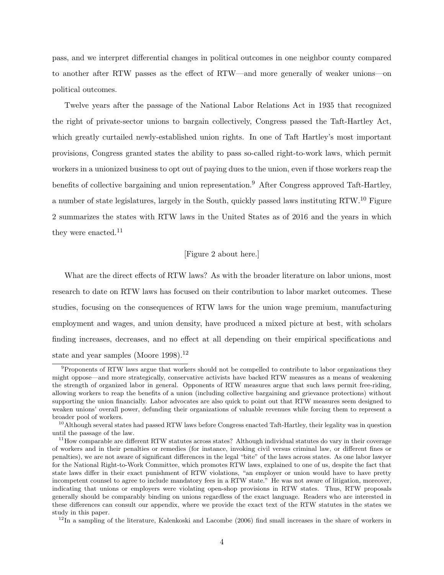pass, and we interpret differential changes in political outcomes in one neighbor county compared to another after RTW passes as the effect of RTW—and more generally of weaker unions—on political outcomes.

Twelve years after the passage of the National Labor Relations Act in 1935 that recognized the right of private-sector unions to bargain collectively, Congress passed the Taft-Hartley Act, which greatly curtailed newly-established union rights. In one of Taft Hartley's most important provisions, Congress granted states the ability to pass so-called right-to-work laws, which permit workers in a unionized business to opt out of paying dues to the union, even if those workers reap the benefits of collective bargaining and union representation.[9](#page-4-0) After Congress approved Taft-Hartley, a number of state legislatures, largely in the South, quickly passed laws instituting RTW.[10](#page-4-1) Figure [2](#page-32-0) summarizes the states with RTW laws in the United States as of 2016 and the years in which they were enacted.<sup>[11](#page-4-2)</sup>

#### [Figure 2 about here.]

What are the direct effects of RTW laws? As with the broader literature on labor unions, most research to date on RTW laws has focused on their contribution to labor market outcomes. These studies, focusing on the consequences of RTW laws for the union wage premium, manufacturing employment and wages, and union density, have produced a mixed picture at best, with scholars finding increases, decreases, and no effect at all depending on their empirical specifications and state and year samples (Moore  $1998$ ).<sup>[12](#page-4-3)</sup>

<span id="page-4-3"></span> $12$ In a sampling of the literature, [Kalenkoski and Lacombe](#page-51-6) [\(2006\)](#page-51-6) find small increases in the share of workers in

<span id="page-4-0"></span><sup>&</sup>lt;sup>9</sup>Proponents of RTW laws argue that workers should not be compelled to contribute to labor organizations they might oppose—and more strategically, conservative activists have backed RTW measures as a means of weakening the strength of organized labor in general. Opponents of RTW measures argue that such laws permit free-riding, allowing workers to reap the benefits of a union (including collective bargaining and grievance protections) without supporting the union financially. Labor advocates are also quick to point out that RTW measures seem designed to weaken unions' overall power, defunding their organizations of valuable revenues while forcing them to represent a broader pool of workers.

<span id="page-4-1"></span> $10$ Although several states had passed RTW laws before Congress enacted Taft-Hartley, their legality was in question until the passage of the law.

<span id="page-4-2"></span> $11$ How comparable are different RTW statutes across states? Although individual statutes do vary in their coverage of workers and in their penalties or remedies (for instance, invoking civil versus criminal law, or different fines or penalties), we are not aware of significant differences in the legal "bite" of the laws across states. As one labor lawyer for the National Right-to-Work Committee, which promotes RTW laws, explained to one of us, despite the fact that state laws differ in their exact punishment of RTW violations, "an employer or union would have to have pretty incompetent counsel to agree to include mandatory fees in a RTW state." He was not aware of litigation, moreover, indicating that unions or employers were violating open-shop provisions in RTW states. Thus, RTW proposals generally should be comparably binding on unions regardless of the exact language. Readers who are interested in these differences can consult our appendix, where we provide the exact text of the RTW statutes in the states we study in this paper.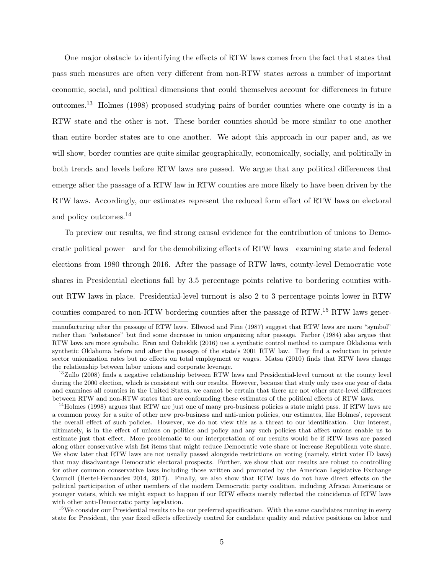One major obstacle to identifying the effects of RTW laws comes from the fact that states that pass such measures are often very different from non-RTW states across a number of important economic, social, and political dimensions that could themselves account for differences in future outcomes.[13](#page-5-0) [Holmes](#page-51-7) [\(1998\)](#page-51-7) proposed studying pairs of border counties where one county is in a RTW state and the other is not. These border counties should be more similar to one another than entire border states are to one another. We adopt this approach in our paper and, as we will show, border counties are quite similar geographically, economically, socially, and politically in both trends and levels before RTW laws are passed. We argue that any political differences that emerge after the passage of a RTW law in RTW counties are more likely to have been driven by the RTW laws. Accordingly, our estimates represent the reduced form effect of RTW laws on electoral and policy outcomes.<sup>[14](#page-5-1)</sup>

To preview our results, we find strong causal evidence for the contribution of unions to Democratic political power—and for the demobilizing effects of RTW laws—examining state and federal elections from 1980 through 2016. After the passage of RTW laws, county-level Democratic vote shares in Presidential elections fall by 3.5 percentage points relative to bordering counties without RTW laws in place. Presidential-level turnout is also 2 to 3 percentage points lower in RTW counties compared to non-RTW bordering counties after the passage of RTW.[15](#page-5-2) RTW laws gener-

<span id="page-5-1"></span><sup>14</sup>[Holmes](#page-51-7) [\(1998\)](#page-51-7) argues that RTW are just one of many pro-business policies a state might pass. If RTW laws are a common proxy for a suite of other new pro-business and anti-union policies, our estimates, like Holmes', represent the overall effect of such policies. However, we do not view this as a threat to our identification. Our interest, ultimately, is in the effect of unions on politics and policy and any such policies that affect unions enable us to estimate just that effect. More problematic to our interpretation of our results would be if RTW laws are passed along other conservative wish list items that might reduce Democratic vote share or increase Republican vote share. We show later that RTW laws are not usually passed alongside restrictions on voting (namely, strict voter ID laws) that may disadvantage Democratic electoral prospects. Further, we show that our results are robust to controlling for other common conservative laws including those written and promoted by the American Legislative Exchange Council [\(Hertel-Fernandez 2014,](#page-51-8) [2017\)](#page-51-9). Finally, we also show that RTW laws do not have direct effects on the political participation of other members of the modern Democratic party coalition, including African Americans or younger voters, which we might expect to happen if our RTW effects merely reflected the coincidence of RTW laws with other anti-Democratic party legislation.

<span id="page-5-2"></span><sup>15</sup>We consider our Presidential results to be our preferred specification. With the same candidates running in every state for President, the year fixed effects effectively control for candidate quality and relative positions on labor and

manufacturing after the passage of RTW laws. [Ellwood and Fine](#page-50-8) [\(1987\)](#page-50-8) suggest that RTW laws are more "symbol" rather than "substance" but find some decrease in union organizing after passage. [Farber](#page-50-9) [\(1984\)](#page-50-9) also argues that RTW laws are more symbolic. [Eren and Ozbeklik](#page-50-10) [\(2016\)](#page-50-10) use a synthetic control method to compare Oklahoma with synthetic Oklahoma before and after the passage of the state's 2001 RTW law. They find a reduction in private sector unionization rates but no effects on total employment or wages. [Matsa](#page-52-8) [\(2010\)](#page-52-8) finds that RTW laws change the relationship between labor unions and corporate leverage.

<span id="page-5-0"></span><sup>&</sup>lt;sup>13</sup>[Zullo](#page-52-9) [\(2008\)](#page-52-9) finds a negative relationship between RTW laws and Presidential-level turnout at the county level during the 2000 election, which is consistent with our results. However, because that study only uses one year of data and examines all counties in the United States, we cannot be certain that there are not other state-level differences between RTW and non-RTW states that are confounding these estimates of the political effects of RTW laws.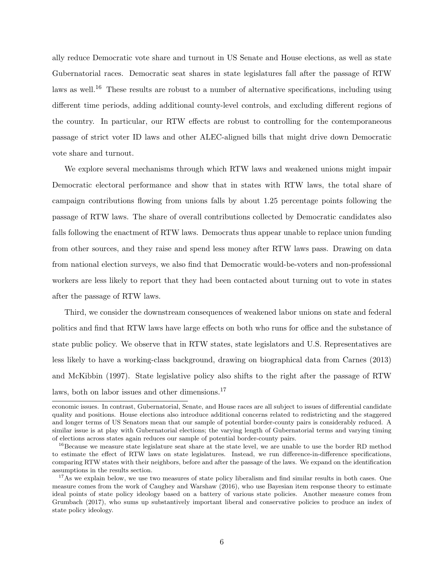ally reduce Democratic vote share and turnout in US Senate and House elections, as well as state Gubernatorial races. Democratic seat shares in state legislatures fall after the passage of RTW laws as well.<sup>[16](#page-6-0)</sup> These results are robust to a number of alternative specifications, including using different time periods, adding additional county-level controls, and excluding different regions of the country. In particular, our RTW effects are robust to controlling for the contemporaneous passage of strict voter ID laws and other ALEC-aligned bills that might drive down Democratic vote share and turnout.

We explore several mechanisms through which RTW laws and weakened unions might impair Democratic electoral performance and show that in states with RTW laws, the total share of campaign contributions flowing from unions falls by about 1.25 percentage points following the passage of RTW laws. The share of overall contributions collected by Democratic candidates also falls following the enactment of RTW laws. Democrats thus appear unable to replace union funding from other sources, and they raise and spend less money after RTW laws pass. Drawing on data from national election surveys, we also find that Democratic would-be-voters and non-professional workers are less likely to report that they had been contacted about turning out to vote in states after the passage of RTW laws.

Third, we consider the downstream consequences of weakened labor unions on state and federal politics and find that RTW laws have large effects on both who runs for office and the substance of state public policy. We observe that in RTW states, state legislators and U.S. Representatives are less likely to have a working-class background, drawing on biographical data from [Carnes](#page-49-6) [\(2013\)](#page-49-6) and [McKibbin](#page-52-10) [\(1997\)](#page-52-10). State legislative policy also shifts to the right after the passage of RTW laws, both on labor issues and other dimensions.<sup>[17](#page-6-1)</sup>

economic issues. In contrast, Gubernatorial, Senate, and House races are all subject to issues of differential candidate quality and positions. House elections also introduce additional concerns related to redistricting and the staggered and longer terms of US Senators mean that our sample of potential border-county pairs is considerably reduced. A similar issue is at play with Gubernatorial elections; the varying length of Gubernatorial terms and varying timing of elections across states again reduces our sample of potential border-county pairs.

<span id="page-6-0"></span><sup>&</sup>lt;sup>16</sup>Because we measure state legislature seat share at the state level, we are unable to use the border RD method to estimate the effect of RTW laws on state legislatures. Instead, we run difference-in-difference specifications, comparing RTW states with their neighbors, before and after the passage of the laws. We expand on the identification assumptions in the results section.

<span id="page-6-1"></span> $17$ As we explain below, we use two measures of state policy liberalism and find similar results in both cases. One measure comes from the work of [Caughey and Warshaw](#page-49-4) [\(2016\)](#page-49-4), who use Bayesian item response theory to estimate ideal points of state policy ideology based on a battery of various state policies. Another measure comes from [Grumbach](#page-51-5) [\(2017\)](#page-51-5), who sums up substantively important liberal and conservative policies to produce an index of state policy ideology.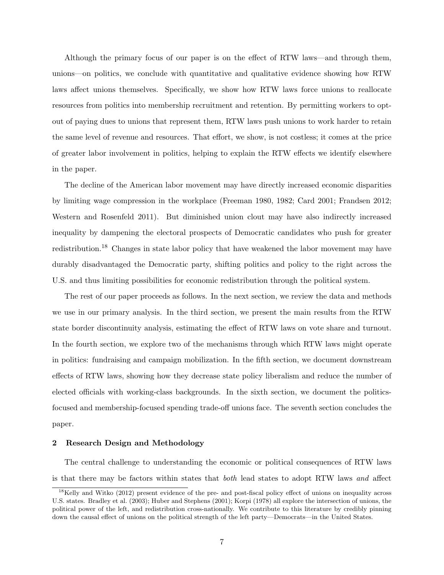Although the primary focus of our paper is on the effect of RTW laws—and through them, unions—on politics, we conclude with quantitative and qualitative evidence showing how RTW laws affect unions themselves. Specifically, we show how RTW laws force unions to reallocate resources from politics into membership recruitment and retention. By permitting workers to optout of paying dues to unions that represent them, RTW laws push unions to work harder to retain the same level of revenue and resources. That effort, we show, is not costless; it comes at the price of greater labor involvement in politics, helping to explain the RTW effects we identify elsewhere in the paper.

The decline of the American labor movement may have directly increased economic disparities by limiting wage compression in the workplace [\(Freeman 1980,](#page-50-11) [1982;](#page-50-12) [Card 2001;](#page-49-1) [Frandsen 2012;](#page-50-4) [Western and Rosenfeld 2011\)](#page-52-2). But diminished union clout may have also indirectly increased inequality by dampening the electoral prospects of Democratic candidates who push for greater redistribution.[18](#page-7-0) Changes in state labor policy that have weakened the labor movement may have durably disadvantaged the Democratic party, shifting politics and policy to the right across the U.S. and thus limiting possibilities for economic redistribution through the political system.

The rest of our paper proceeds as follows. In the next section, we review the data and methods we use in our primary analysis. In the third section, we present the main results from the RTW state border discontinuity analysis, estimating the effect of RTW laws on vote share and turnout. In the fourth section, we explore two of the mechanisms through which RTW laws might operate in politics: fundraising and campaign mobilization. In the fifth section, we document downstream effects of RTW laws, showing how they decrease state policy liberalism and reduce the number of elected officials with working-class backgrounds. In the sixth section, we document the politicsfocused and membership-focused spending trade-off unions face. The seventh section concludes the paper.

### 2 Research Design and Methodology

The central challenge to understanding the economic or political consequences of RTW laws is that there may be factors within states that both lead states to adopt RTW laws and affect

<span id="page-7-0"></span><sup>&</sup>lt;sup>18</sup>[Kelly and Witko](#page-51-10) [\(2012\)](#page-51-10) present evidence of the pre- and post-fiscal policy effect of unions on inequality across U.S. states. [Bradley et al.](#page-49-7) [\(2003\)](#page-49-7); [Huber and Stephens](#page-51-11) [\(2001\)](#page-51-11); [Korpi](#page-52-11) [\(1978\)](#page-52-11) all explore the intersection of unions, the political power of the left, and redistribution cross-nationally. We contribute to this literature by credibly pinning down the causal effect of unions on the political strength of the left party—Democrats—in the United States.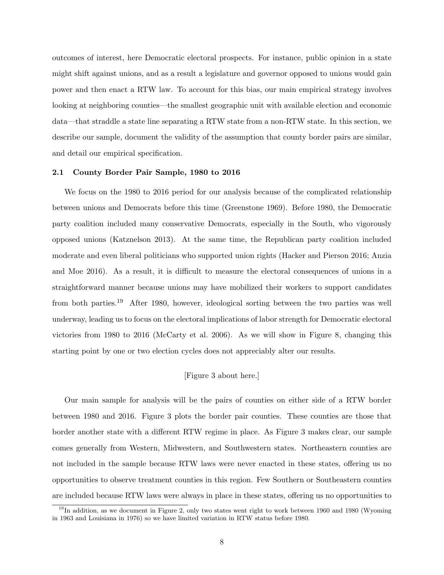outcomes of interest, here Democratic electoral prospects. For instance, public opinion in a state might shift against unions, and as a result a legislature and governor opposed to unions would gain power and then enact a RTW law. To account for this bias, our main empirical strategy involves looking at neighboring counties—the smallest geographic unit with available election and economic data—that straddle a state line separating a RTW state from a non-RTW state. In this section, we describe our sample, document the validity of the assumption that county border pairs are similar, and detail our empirical specification.

#### 2.1 County Border Pair Sample, 1980 to 2016

We focus on the 1980 to 2016 period for our analysis because of the complicated relationship between unions and Democrats before this time [\(Greenstone 1969\)](#page-51-2). Before 1980, the Democratic party coalition included many conservative Democrats, especially in the South, who vigorously opposed unions [\(Katznelson 2013\)](#page-51-12). At the same time, the Republican party coalition included moderate and even liberal politicians who supported union rights [\(Hacker and Pierson 2016;](#page-51-13) [Anzia](#page-49-8) [and Moe 2016\)](#page-49-8). As a result, it is difficult to measure the electoral consequences of unions in a straightforward manner because unions may have mobilized their workers to support candidates from both parties.[19](#page-8-0) After 1980, however, ideological sorting between the two parties was well underway, leading us to focus on the electoral implications of labor strength for Democratic electoral victories from 1980 to 2016 [\(McCarty et al. 2006\)](#page-52-5). As we will show in Figure [8,](#page-38-0) changing this starting point by one or two election cycles does not appreciably alter our results.

# [Figure 3 about here.]

Our main sample for analysis will be the pairs of counties on either side of a RTW border between 1980 and 2016. Figure [3](#page-33-0) plots the border pair counties. These counties are those that border another state with a different RTW regime in place. As Figure [3](#page-33-0) makes clear, our sample comes generally from Western, Midwestern, and Southwestern states. Northeastern counties are not included in the sample because RTW laws were never enacted in these states, offering us no opportunities to observe treatment counties in this region. Few Southern or Southeastern counties are included because RTW laws were always in place in these states, offering us no opportunities to

<span id="page-8-0"></span> $19$ In addition, as we document in Figure [2,](#page-32-0) only two states went right to work between 1960 and 1980 (Wyoming in 1963 and Louisiana in 1976) so we have limited variation in RTW status before 1980.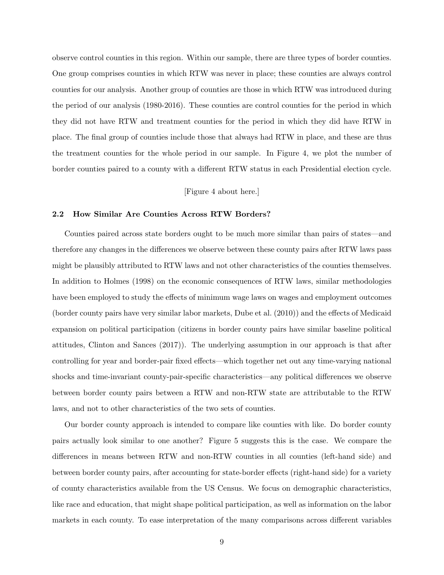observe control counties in this region. Within our sample, there are three types of border counties. One group comprises counties in which RTW was never in place; these counties are always control counties for our analysis. Another group of counties are those in which RTW was introduced during the period of our analysis (1980-2016). These counties are control counties for the period in which they did not have RTW and treatment counties for the period in which they did have RTW in place. The final group of counties include those that always had RTW in place, and these are thus the treatment counties for the whole period in our sample. In Figure [4,](#page-34-0) we plot the number of border counties paired to a county with a different RTW status in each Presidential election cycle.

# [Figure 4 about here.]

#### 2.2 How Similar Are Counties Across RTW Borders?

Counties paired across state borders ought to be much more similar than pairs of states—and therefore any changes in the differences we observe between these county pairs after RTW laws pass might be plausibly attributed to RTW laws and not other characteristics of the counties themselves. In addition to [Holmes](#page-51-7) [\(1998\)](#page-51-7) on the economic consequences of RTW laws, similar methodologies have been employed to study the effects of minimum wage laws on wages and employment outcomes (border county pairs have very similar labor markets, [Dube et al.](#page-50-13) [\(2010\)](#page-50-13)) and the effects of Medicaid expansion on political participation (citizens in border county pairs have similar baseline political attitudes, [Clinton and Sances](#page-49-9) [\(2017\)](#page-49-9)). The underlying assumption in our approach is that after controlling for year and border-pair fixed effects—which together net out any time-varying national shocks and time-invariant county-pair-specific characteristics—any political differences we observe between border county pairs between a RTW and non-RTW state are attributable to the RTW laws, and not to other characteristics of the two sets of counties.

Our border county approach is intended to compare like counties with like. Do border county pairs actually look similar to one another? Figure [5](#page-35-0) suggests this is the case. We compare the differences in means between RTW and non-RTW counties in all counties (left-hand side) and between border county pairs, after accounting for state-border effects (right-hand side) for a variety of county characteristics available from the US Census. We focus on demographic characteristics, like race and education, that might shape political participation, as well as information on the labor markets in each county. To ease interpretation of the many comparisons across different variables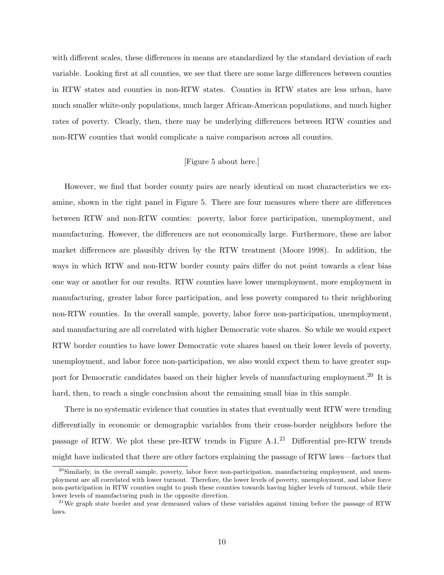with different scales, these differences in means are standardized by the standard deviation of each variable. Looking first at all counties, we see that there are some large differences between counties in RTW states and counties in non-RTW states. Counties in RTW states are less urban, have much smaller white-only populations, much larger African-American populations, and much higher rates of poverty. Clearly, then, there may be underlying differences between RTW counties and non-RTW counties that would complicate a naive comparison across all counties.

# [Figure 5 about here.]

However, we find that border county pairs are nearly identical on most characteristics we examine, shown in the right panel in Figure [5.](#page-35-0) There are four measures where there are differences between RTW and non-RTW counties: poverty, labor force participation, unemployment, and manufacturing. However, the differences are not economically large. Furthermore, these are labor market differences are plausibly driven by the RTW treatment [\(Moore 1998\)](#page-52-7). In addition, the ways in which RTW and non-RTW border county pairs differ do not point towards a clear bias one way or another for our results. RTW counties have lower unemployment, more employment in manufacturing, greater labor force participation, and less poverty compared to their neighboring non-RTW counties. In the overall sample, poverty, labor force non-participation, unemployment, and manufacturing are all correlated with higher Democratic vote shares. So while we would expect RTW border counties to have lower Democratic vote shares based on their lower levels of poverty, unemployment, and labor force non-participation, we also would expect them to have greater sup-port for Democratic candidates based on their higher levels of manufacturing employment.<sup>[20](#page-10-0)</sup> It is hard, then, to reach a single conclusion about the remaining small bias in this sample.

There is no systematic evidence that counties in states that eventually went RTW were trending differentially in economic or demographic variables from their cross-border neighbors before the passage of RTW. We plot these pre-RTW trends in Figure  $A.1<sup>21</sup>$  $A.1<sup>21</sup>$  $A.1<sup>21</sup>$  Differential pre-RTW trends might have indicated that there are other factors explaining the passage of RTW laws—factors that

<span id="page-10-0"></span><sup>&</sup>lt;sup>20</sup>Similarly, in the overall sample, poverty, labor force non-participation, manufacturing employment, and unemployment are all correlated with lower turnout. Therefore, the lower levels of poverty, unemployment, and labor force non-participation in RTW counties ought to push these counties towards having higher levels of turnout, while their lower levels of manufacturing push in the opposite direction.

<span id="page-10-1"></span> $^{21}$ We graph state border and year demeaned values of these variables against timing before the passage of RTW laws.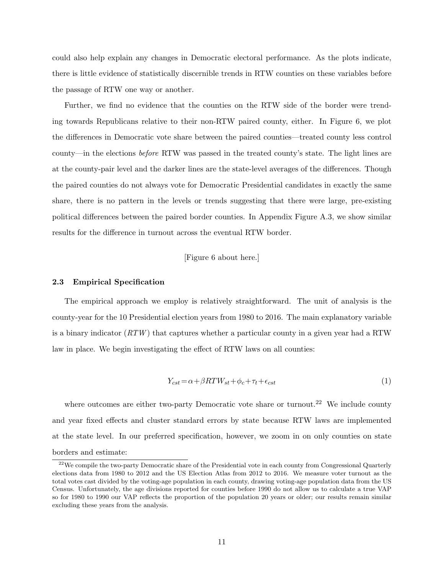could also help explain any changes in Democratic electoral performance. As the plots indicate, there is little evidence of statistically discernible trends in RTW counties on these variables before the passage of RTW one way or another.

Further, we find no evidence that the counties on the RTW side of the border were trending towards Republicans relative to their non-RTW paired county, either. In Figure [6,](#page-36-0) we plot the differences in Democratic vote share between the paired counties—treated county less control county—in the elections before RTW was passed in the treated county's state. The light lines are at the county-pair level and the darker lines are the state-level averages of the differences. Though the paired counties do not always vote for Democratic Presidential candidates in exactly the same share, there is no pattern in the levels or trends suggesting that there were large, pre-existing political differences between the paired border counties. In Appendix Figure [A.3,](#page-59-0) we show similar results for the difference in turnout across the eventual RTW border.

# [Figure 6 about here.]

#### 2.3 Empirical Specification

The empirical approach we employ is relatively straightforward. The unit of analysis is the county-year for the 10 Presidential election years from 1980 to 2016. The main explanatory variable is a binary indicator  $(RTW)$  that captures whether a particular county in a given year had a RTW law in place. We begin investigating the effect of RTW laws on all counties:

$$
Y_{cst} = \alpha + \beta RT W_{st} + \phi_c + \tau_t + \epsilon_{cst} \tag{1}
$$

where outcomes are either two-party Democratic vote share or turnout.<sup>[22](#page-11-0)</sup> We include county and year fixed effects and cluster standard errors by state because RTW laws are implemented at the state level. In our preferred specification, however, we zoom in on only counties on state borders and estimate:

<span id="page-11-0"></span> $^{22}$ We compile the two-party Democratic share of the Presidential vote in each county from Congressional Quarterly elections data from 1980 to 2012 and the US Election Atlas from 2012 to 2016. We measure voter turnout as the total votes cast divided by the voting-age population in each county, drawing voting-age population data from the US Census. Unfortunately, the age divisions reported for counties before 1990 do not allow us to calculate a true VAP so for 1980 to 1990 our VAP reflects the proportion of the population 20 years or older; our results remain similar excluding these years from the analysis.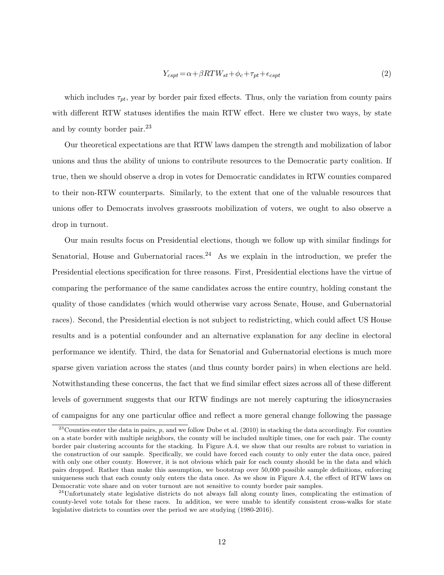$$
Y_{cspt} = \alpha + \beta RTW_{st} + \phi_c + \tau_{pt} + \epsilon_{cspt} \tag{2}
$$

which includes  $\tau_{pt}$ , year by border pair fixed effects. Thus, only the variation from county pairs with different RTW statuses identifies the main RTW effect. Here we cluster two ways, by state and by county border pair.<sup>[23](#page-12-0)</sup>

Our theoretical expectations are that RTW laws dampen the strength and mobilization of labor unions and thus the ability of unions to contribute resources to the Democratic party coalition. If true, then we should observe a drop in votes for Democratic candidates in RTW counties compared to their non-RTW counterparts. Similarly, to the extent that one of the valuable resources that unions offer to Democrats involves grassroots mobilization of voters, we ought to also observe a drop in turnout.

Our main results focus on Presidential elections, though we follow up with similar findings for Senatorial, House and Gubernatorial races.<sup>[24](#page-12-1)</sup> As we explain in the introduction, we prefer the Presidential elections specification for three reasons. First, Presidential elections have the virtue of comparing the performance of the same candidates across the entire country, holding constant the quality of those candidates (which would otherwise vary across Senate, House, and Gubernatorial races). Second, the Presidential election is not subject to redistricting, which could affect US House results and is a potential confounder and an alternative explanation for any decline in electoral performance we identify. Third, the data for Senatorial and Gubernatorial elections is much more sparse given variation across the states (and thus county border pairs) in when elections are held. Notwithstanding these concerns, the fact that we find similar effect sizes across all of these different levels of government suggests that our RTW findings are not merely capturing the idiosyncrasies of campaigns for any one particular office and reflect a more general change following the passage

<span id="page-12-0"></span> $^{23}$ Counties enter the data in pairs, p, and we follow [Dube et al.](#page-50-13) [\(2010\)](#page-50-13) in stacking the data accordingly. For counties on a state border with multiple neighbors, the county will be included multiple times, one for each pair. The county border pair clustering accounts for the stacking. In Figure [A.4,](#page-60-0) we show that our results are robust to variation in the construction of our sample. Specifically, we could have forced each county to only enter the data once, paired with only one other county. However, it is not obvious which pair for each county should be in the data and which pairs dropped. Rather than make this assumption, we bootstrap over 50,000 possible sample definitions, enforcing uniqueness such that each county only enters the data once. As we show in Figure [A.4,](#page-60-0) the effect of RTW laws on Democratic vote share and on voter turnout are not sensitive to county border pair samples.

<span id="page-12-1"></span> $24$ Unfortunately state legislative districts do not always fall along county lines, complicating the estimation of county-level vote totals for these races. In addition, we were unable to identify consistent cross-walks for state legislative districts to counties over the period we are studying (1980-2016).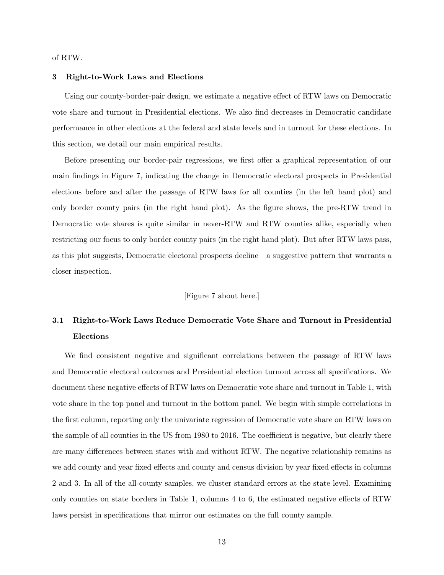of RTW.

## 3 Right-to-Work Laws and Elections

Using our county-border-pair design, we estimate a negative effect of RTW laws on Democratic vote share and turnout in Presidential elections. We also find decreases in Democratic candidate performance in other elections at the federal and state levels and in turnout for these elections. In this section, we detail our main empirical results.

Before presenting our border-pair regressions, we first offer a graphical representation of our main findings in Figure [7,](#page-37-0) indicating the change in Democratic electoral prospects in Presidential elections before and after the passage of RTW laws for all counties (in the left hand plot) and only border county pairs (in the right hand plot). As the figure shows, the pre-RTW trend in Democratic vote shares is quite similar in never-RTW and RTW counties alike, especially when restricting our focus to only border county pairs (in the right hand plot). But after RTW laws pass, as this plot suggests, Democratic electoral prospects decline—a suggestive pattern that warrants a closer inspection.

# [Figure 7 about here.]

# 3.1 Right-to-Work Laws Reduce Democratic Vote Share and Turnout in Presidential Elections

We find consistent negative and significant correlations between the passage of RTW laws and Democratic electoral outcomes and Presidential election turnout across all specifications. We document these negative effects of RTW laws on Democratic vote share and turnout in Table [1,](#page-41-0) with vote share in the top panel and turnout in the bottom panel. We begin with simple correlations in the first column, reporting only the univariate regression of Democratic vote share on RTW laws on the sample of all counties in the US from 1980 to 2016. The coefficient is negative, but clearly there are many differences between states with and without RTW. The negative relationship remains as we add county and year fixed effects and county and census division by year fixed effects in columns 2 and 3. In all of the all-county samples, we cluster standard errors at the state level. Examining only counties on state borders in Table [1,](#page-41-0) columns 4 to 6, the estimated negative effects of RTW laws persist in specifications that mirror our estimates on the full county sample.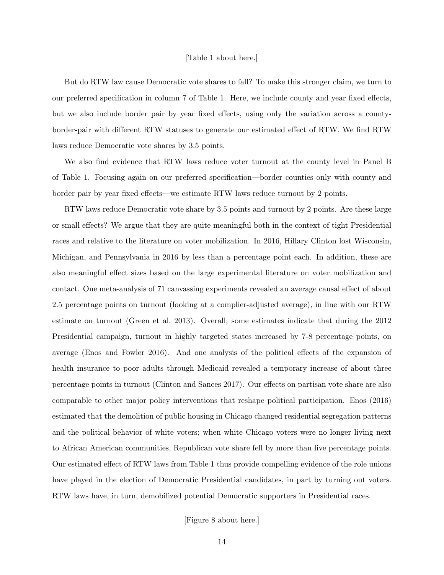### [Table 1 about here.]

But do RTW law cause Democratic vote shares to fall? To make this stronger claim, we turn to our preferred specification in column 7 of Table [1.](#page-41-0) Here, we include county and year fixed effects, but we also include border pair by year fixed effects, using only the variation across a countyborder-pair with different RTW statuses to generate our estimated effect of RTW. We find RTW laws reduce Democratic vote shares by 3.5 points.

We also find evidence that RTW laws reduce voter turnout at the county level in Panel B of Table [1.](#page-41-0) Focusing again on our preferred specification—border counties only with county and border pair by year fixed effects—we estimate RTW laws reduce turnout by 2 points.

RTW laws reduce Democratic vote share by 3.5 points and turnout by 2 points. Are these large or small effects? We argue that they are quite meaningful both in the context of tight Presidential races and relative to the literature on voter mobilization. In 2016, Hillary Clinton lost Wisconsin, Michigan, and Pennsylvania in 2016 by less than a percentage point each. In addition, these are also meaningful effect sizes based on the large experimental literature on voter mobilization and contact. One meta-analysis of 71 canvassing experiments revealed an average causal effect of about 2.5 percentage points on turnout (looking at a complier-adjusted average), in line with our RTW estimate on turnout [\(Green et al. 2013\)](#page-51-14). Overall, some estimates indicate that during the 2012 Presidential campaign, turnout in highly targeted states increased by 7-8 percentage points, on average [\(Enos and Fowler 2016\)](#page-50-14). And one analysis of the political effects of the expansion of health insurance to poor adults through Medicaid revealed a temporary increase of about three percentage points in turnout [\(Clinton and Sances 2017\)](#page-49-9). Our effects on partisan vote share are also comparable to other major policy interventions that reshape political participation. [Enos](#page-50-15) [\(2016\)](#page-50-15) estimated that the demolition of public housing in Chicago changed residential segregation patterns and the political behavior of white voters; when white Chicago voters were no longer living next to African American communities, Republican vote share fell by more than five percentage points. Our estimated effect of RTW laws from Table [1](#page-41-0) thus provide compelling evidence of the role unions have played in the election of Democratic Presidential candidates, in part by turning out voters. RTW laws have, in turn, demobilized potential Democratic supporters in Presidential races.

[Figure 8 about here.]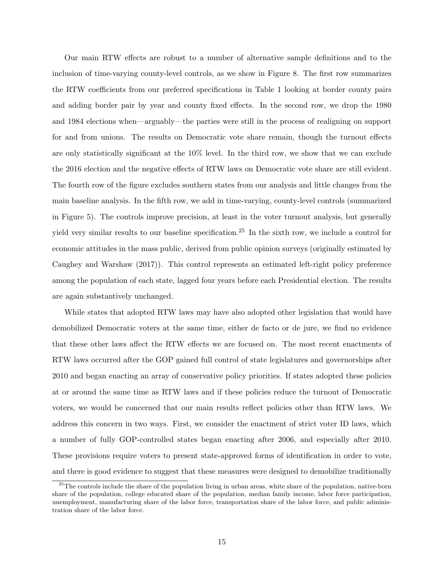Our main RTW effects are robust to a number of alternative sample definitions and to the inclusion of time-varying county-level controls, as we show in Figure [8.](#page-38-0) The first row summarizes the RTW coefficients from our preferred specifications in Table [1](#page-41-0) looking at border county pairs and adding border pair by year and county fixed effects. In the second row, we drop the 1980 and 1984 elections when—arguably—the parties were still in the process of realigning on support for and from unions. The results on Democratic vote share remain, though the turnout effects are only statistically significant at the 10% level. In the third row, we show that we can exclude the 2016 election and the negative effects of RTW laws on Democratic vote share are still evident. The fourth row of the figure excludes southern states from our analysis and little changes from the main baseline analysis. In the fifth row, we add in time-varying, county-level controls (summarized in Figure [5\)](#page-35-0). The controls improve precision, at least in the voter turnout analysis, but generally yield very similar results to our baseline specification.[25](#page-15-0) In the sixth row, we include a control for economic attitudes in the mass public, derived from public opinion surveys (originally estimated by [Caughey and Warshaw](#page-49-10) [\(2017\)](#page-49-10)). This control represents an estimated left-right policy preference among the population of each state, lagged four years before each Presidential election. The results are again substantively unchanged.

While states that adopted RTW laws may have also adopted other legislation that would have demobilized Democratic voters at the same time, either de facto or de jure, we find no evidence that these other laws affect the RTW effects we are focused on. The most recent enactments of RTW laws occurred after the GOP gained full control of state legislatures and governorships after 2010 and began enacting an array of conservative policy priorities. If states adopted these policies at or around the same time as RTW laws and if these policies reduce the turnout of Democratic voters, we would be concerned that our main results reflect policies other than RTW laws. We address this concern in two ways. First, we consider the enactment of strict voter ID laws, which a number of fully GOP-controlled states began enacting after 2006, and especially after 2010. These provisions require voters to present state-approved forms of identification in order to vote, and there is good evidence to suggest that these measures were designed to demobilize traditionally

<span id="page-15-0"></span><sup>&</sup>lt;sup>25</sup>The controls include the share of the population living in urban areas, white share of the population, native-born share of the population, college educated share of the population, median family income, labor force participation, unemployment, manufacturing share of the labor force, transportation share of the labor force, and public administration share of the labor force.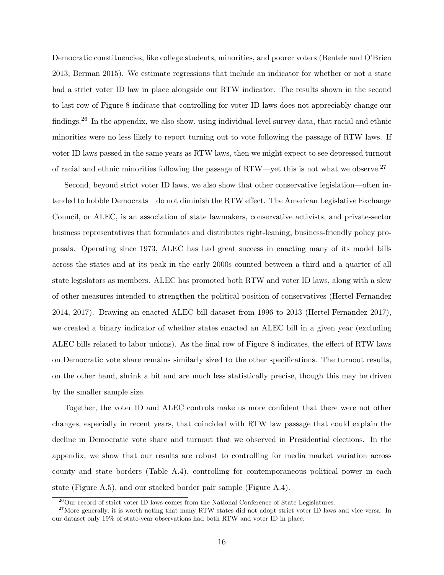Democratic constituencies, like college students, minorities, and poorer voters [\(Bentele and O'Brien](#page-49-11) [2013;](#page-49-11) [Berman 2015\)](#page-49-12). We estimate regressions that include an indicator for whether or not a state had a strict voter ID law in place alongside our RTW indicator. The results shown in the second to last row of Figure [8](#page-38-0) indicate that controlling for voter ID laws does not appreciably change our findings.[26](#page-16-0) In the appendix, we also show, using individual-level survey data, that racial and ethnic minorities were no less likely to report turning out to vote following the passage of RTW laws. If voter ID laws passed in the same years as RTW laws, then we might expect to see depressed turnout of racial and ethnic minorities following the passage of  $RTW$ —yet this is not what we observe.<sup>[27](#page-16-1)</sup>

Second, beyond strict voter ID laws, we also show that other conservative legislation—often intended to hobble Democrats—do not diminish the RTW effect. The American Legislative Exchange Council, or ALEC, is an association of state lawmakers, conservative activists, and private-sector business representatives that formulates and distributes right-leaning, business-friendly policy proposals. Operating since 1973, ALEC has had great success in enacting many of its model bills across the states and at its peak in the early 2000s counted between a third and a quarter of all state legislators as members. ALEC has promoted both RTW and voter ID laws, along with a slew of other measures intended to strengthen the political position of conservatives [\(Hertel-Fernandez](#page-51-8) [2014,](#page-51-8) [2017\)](#page-51-9). Drawing an enacted ALEC bill dataset from 1996 to 2013 [\(Hertel-Fernandez 2017\)](#page-51-9), we created a binary indicator of whether states enacted an ALEC bill in a given year (excluding ALEC bills related to labor unions). As the final row of Figure [8](#page-38-0) indicates, the effect of RTW laws on Democratic vote share remains similarly sized to the other specifications. The turnout results, on the other hand, shrink a bit and are much less statistically precise, though this may be driven by the smaller sample size.

Together, the voter ID and ALEC controls make us more confident that there were not other changes, especially in recent years, that coincided with RTW law passage that could explain the decline in Democratic vote share and turnout that we observed in Presidential elections. In the appendix, we show that our results are robust to controlling for media market variation across county and state borders (Table [A.4\)](#page-67-0), controlling for contemporaneous political power in each state (Figure [A.5\)](#page-61-0), and our stacked border pair sample (Figure [A.4\)](#page-60-0).

<span id="page-16-1"></span><span id="page-16-0"></span> $^{26}$ Our record of strict voter ID laws comes from the [National Conference of State Legislatures.](http://www.ncsl.org/research/elections-and-campaigns/voter-id-history.aspx)

<sup>&</sup>lt;sup>27</sup>More generally, it is worth noting that many RTW states did not adopt strict voter ID laws and vice versa. In our dataset only 19% of state-year observations had both RTW and voter ID in place.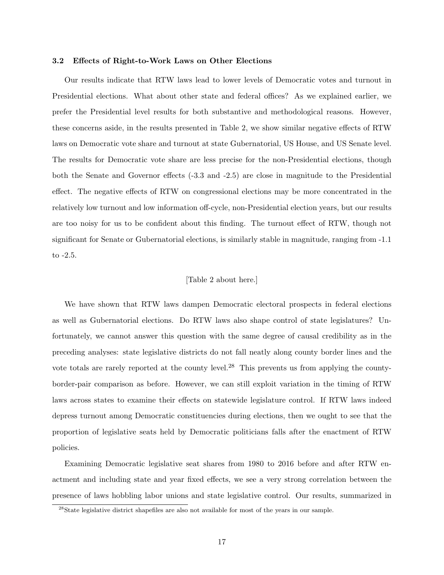#### 3.2 Effects of Right-to-Work Laws on Other Elections

Our results indicate that RTW laws lead to lower levels of Democratic votes and turnout in Presidential elections. What about other state and federal offices? As we explained earlier, we prefer the Presidential level results for both substantive and methodological reasons. However, these concerns aside, in the results presented in Table [2,](#page-42-0) we show similar negative effects of RTW laws on Democratic vote share and turnout at state Gubernatorial, US House, and US Senate level. The results for Democratic vote share are less precise for the non-Presidential elections, though both the Senate and Governor effects (-3.3 and -2.5) are close in magnitude to the Presidential effect. The negative effects of RTW on congressional elections may be more concentrated in the relatively low turnout and low information off-cycle, non-Presidential election years, but our results are too noisy for us to be confident about this finding. The turnout effect of RTW, though not significant for Senate or Gubernatorial elections, is similarly stable in magnitude, ranging from -1.1 to -2.5.

# [Table 2 about here.]

We have shown that RTW laws dampen Democratic electoral prospects in federal elections as well as Gubernatorial elections. Do RTW laws also shape control of state legislatures? Unfortunately, we cannot answer this question with the same degree of causal credibility as in the preceding analyses: state legislative districts do not fall neatly along county border lines and the vote totals are rarely reported at the county level.[28](#page-17-0) This prevents us from applying the countyborder-pair comparison as before. However, we can still exploit variation in the timing of RTW laws across states to examine their effects on statewide legislature control. If RTW laws indeed depress turnout among Democratic constituencies during elections, then we ought to see that the proportion of legislative seats held by Democratic politicians falls after the enactment of RTW policies.

Examining Democratic legislative seat shares from 1980 to 2016 before and after RTW enactment and including state and year fixed effects, we see a very strong correlation between the presence of laws hobbling labor unions and state legislative control. Our results, summarized in

<span id="page-17-0"></span><sup>&</sup>lt;sup>28</sup>State legislative district shapefiles are also not available for most of the years in our sample.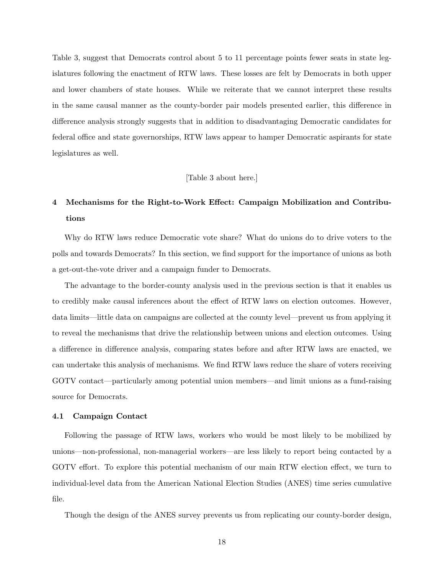Table [3,](#page-43-0) suggest that Democrats control about 5 to 11 percentage points fewer seats in state legislatures following the enactment of RTW laws. These losses are felt by Democrats in both upper and lower chambers of state houses. While we reiterate that we cannot interpret these results in the same causal manner as the county-border pair models presented earlier, this difference in difference analysis strongly suggests that in addition to disadvantaging Democratic candidates for federal office and state governorships, RTW laws appear to hamper Democratic aspirants for state legislatures as well.

# [Table 3 about here.]

# 4 Mechanisms for the Right-to-Work Effect: Campaign Mobilization and Contributions

Why do RTW laws reduce Democratic vote share? What do unions do to drive voters to the polls and towards Democrats? In this section, we find support for the importance of unions as both a get-out-the-vote driver and a campaign funder to Democrats.

The advantage to the border-county analysis used in the previous section is that it enables us to credibly make causal inferences about the effect of RTW laws on election outcomes. However, data limits—little data on campaigns are collected at the county level—prevent us from applying it to reveal the mechanisms that drive the relationship between unions and election outcomes. Using a difference in difference analysis, comparing states before and after RTW laws are enacted, we can undertake this analysis of mechanisms. We find RTW laws reduce the share of voters receiving GOTV contact—particularly among potential union members—and limit unions as a fund-raising source for Democrats.

#### 4.1 Campaign Contact

Following the passage of RTW laws, workers who would be most likely to be mobilized by unions—non-professional, non-managerial workers—are less likely to report being contacted by a GOTV effort. To explore this potential mechanism of our main RTW election effect, we turn to individual-level data from the American National Election Studies (ANES) time series cumulative file.

Though the design of the ANES survey prevents us from replicating our county-border design,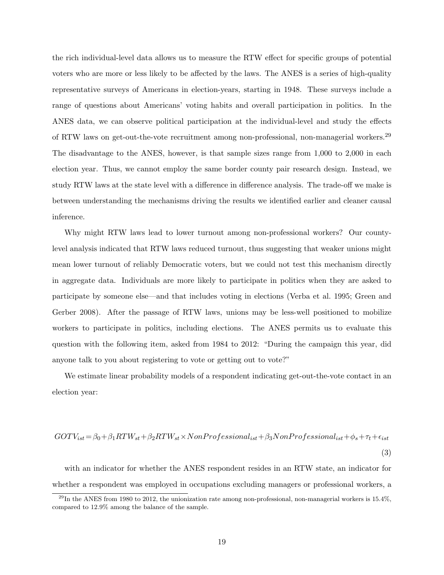the rich individual-level data allows us to measure the RTW effect for specific groups of potential voters who are more or less likely to be affected by the laws. The ANES is a series of high-quality representative surveys of Americans in election-years, starting in 1948. These surveys include a range of questions about Americans' voting habits and overall participation in politics. In the ANES data, we can observe political participation at the individual-level and study the effects of RTW laws on get-out-the-vote recruitment among non-professional, non-managerial workers.[29](#page-19-0) The disadvantage to the ANES, however, is that sample sizes range from 1,000 to 2,000 in each election year. Thus, we cannot employ the same border county pair research design. Instead, we study RTW laws at the state level with a difference in difference analysis. The trade-off we make is between understanding the mechanisms driving the results we identified earlier and cleaner causal inference.

Why might RTW laws lead to lower turnout among non-professional workers? Our countylevel analysis indicated that RTW laws reduced turnout, thus suggesting that weaker unions might mean lower turnout of reliably Democratic voters, but we could not test this mechanism directly in aggregate data. Individuals are more likely to participate in politics when they are asked to participate by someone else—and that includes voting in elections [\(Verba et al. 1995;](#page-52-12) [Green and](#page-51-15) [Gerber 2008\)](#page-51-15). After the passage of RTW laws, unions may be less-well positioned to mobilize workers to participate in politics, including elections. The ANES permits us to evaluate this question with the following item, asked from 1984 to 2012: "During the campaign this year, did anyone talk to you about registering to vote or getting out to vote?"

We estimate linear probability models of a respondent indicating get-out-the-vote contact in an election year:

$$
GOTV_{ist} = \beta_0 + \beta_1 RTW_{st} + \beta_2 RTW_{st} \times NonProfessorlessional_{ist} + \beta_3 NonProfessorlessional_{ist} + \phi_s + \tau_t + \epsilon_{ist}
$$
\n
$$
\tag{3}
$$

with an indicator for whether the ANES respondent resides in an RTW state, an indicator for whether a respondent was employed in occupations excluding managers or professional workers, a

<span id="page-19-0"></span> $^{29}$ In the ANES from 1980 to 2012, the unionization rate among non-professional, non-managerial workers is 15.4%, compared to 12.9% among the balance of the sample.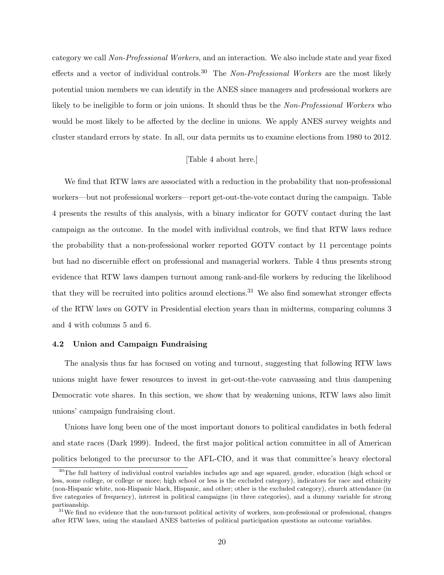category we call Non-Professional Workers, and an interaction. We also include state and year fixed effects and a vector of individual controls.<sup>[30](#page-20-0)</sup> The Non-Professional Workers are the most likely potential union members we can identify in the ANES since managers and professional workers are likely to be ineligible to form or join unions. It should thus be the Non-Professional Workers who would be most likely to be affected by the decline in unions. We apply ANES survey weights and cluster standard errors by state. In all, our data permits us to examine elections from 1980 to 2012.

# [Table 4 about here.]

We find that RTW laws are associated with a reduction in the probability that non-professional workers—but not professional workers—report get-out-the-vote contact during the campaign. Table [4](#page-44-0) presents the results of this analysis, with a binary indicator for GOTV contact during the last campaign as the outcome. In the model with individual controls, we find that RTW laws reduce the probability that a non-professional worker reported GOTV contact by 11 percentage points but had no discernible effect on professional and managerial workers. Table [4](#page-44-0) thus presents strong evidence that RTW laws dampen turnout among rank-and-file workers by reducing the likelihood that they will be recruited into politics around elections.<sup>[31](#page-20-1)</sup> We also find somewhat stronger effects of the RTW laws on GOTV in Presidential election years than in midterms, comparing columns 3 and 4 with columns 5 and 6.

## 4.2 Union and Campaign Fundraising

The analysis thus far has focused on voting and turnout, suggesting that following RTW laws unions might have fewer resources to invest in get-out-the-vote canvassing and thus dampening Democratic vote shares. In this section, we show that by weakening unions, RTW laws also limit unions' campaign fundraising clout.

Unions have long been one of the most important donors to political candidates in both federal and state races [\(Dark 1999\)](#page-50-1). Indeed, the first major political action committee in all of American politics belonged to the precursor to the AFL-CIO, and it was that committee's heavy electoral

<span id="page-20-0"></span><sup>&</sup>lt;sup>30</sup>The full battery of individual control variables includes age and age squared, gender, education (high school or less, some college, or college or more; high school or less is the excluded category), indicators for race and ethnicity (non-Hispanic white, non-Hispanic black, Hispanic, and other; other is the excluded category), church attendance (in five categories of frequency), interest in political campaigns (in three categories), and a dummy variable for strong partisanship.

<span id="page-20-1"></span> $31$ We find no evidence that the non-turnout political activity of workers, non-professional or professional, changes after RTW laws, using the standard ANES batteries of political participation questions as outcome variables.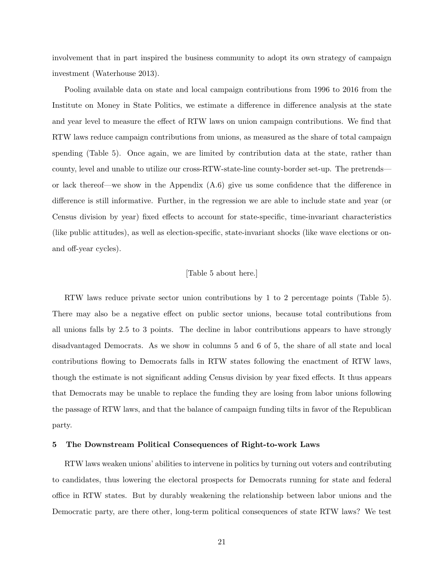involvement that in part inspired the business community to adopt its own strategy of campaign investment [\(Waterhouse 2013\)](#page-52-13).

Pooling available data on state and local campaign contributions from 1996 to 2016 from the Institute on Money in State Politics, we estimate a difference in difference analysis at the state and year level to measure the effect of RTW laws on union campaign contributions. We find that RTW laws reduce campaign contributions from unions, as measured as the share of total campaign spending (Table [5\)](#page-45-0). Once again, we are limited by contribution data at the state, rather than county, level and unable to utilize our cross-RTW-state-line county-border set-up. The pretrends or lack thereof—we show in the Appendix  $(A.6)$  give us some confidence that the difference in difference is still informative. Further, in the regression we are able to include state and year (or Census division by year) fixed effects to account for state-specific, time-invariant characteristics (like public attitudes), as well as election-specific, state-invariant shocks (like wave elections or onand off-year cycles).

## [Table 5 about here.]

RTW laws reduce private sector union contributions by 1 to 2 percentage points (Table [5\)](#page-45-0). There may also be a negative effect on public sector unions, because total contributions from all unions falls by 2.5 to 3 points. The decline in labor contributions appears to have strongly disadvantaged Democrats. As we show in columns 5 and 6 of [5,](#page-45-0) the share of all state and local contributions flowing to Democrats falls in RTW states following the enactment of RTW laws, though the estimate is not significant adding Census division by year fixed effects. It thus appears that Democrats may be unable to replace the funding they are losing from labor unions following the passage of RTW laws, and that the balance of campaign funding tilts in favor of the Republican party.

#### 5 The Downstream Political Consequences of Right-to-work Laws

RTW laws weaken unions' abilities to intervene in politics by turning out voters and contributing to candidates, thus lowering the electoral prospects for Democrats running for state and federal office in RTW states. But by durably weakening the relationship between labor unions and the Democratic party, are there other, long-term political consequences of state RTW laws? We test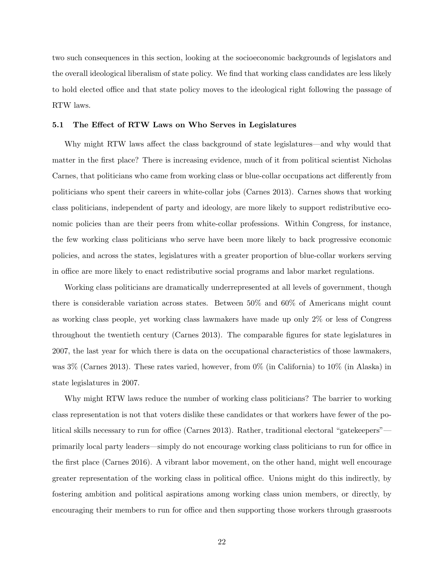two such consequences in this section, looking at the socioeconomic backgrounds of legislators and the overall ideological liberalism of state policy. We find that working class candidates are less likely to hold elected office and that state policy moves to the ideological right following the passage of RTW laws.

#### 5.1 The Effect of RTW Laws on Who Serves in Legislatures

Why might RTW laws affect the class background of state legislatures—and why would that matter in the first place? There is increasing evidence, much of it from political scientist Nicholas Carnes, that politicians who came from working class or blue-collar occupations act differently from politicians who spent their careers in white-collar jobs [\(Carnes 2013\)](#page-49-6). Carnes shows that working class politicians, independent of party and ideology, are more likely to support redistributive economic policies than are their peers from white-collar professions. Within Congress, for instance, the few working class politicians who serve have been more likely to back progressive economic policies, and across the states, legislatures with a greater proportion of blue-collar workers serving in office are more likely to enact redistributive social programs and labor market regulations.

Working class politicians are dramatically underrepresented at all levels of government, though there is considerable variation across states. Between 50% and 60% of Americans might count as working class people, yet working class lawmakers have made up only 2% or less of Congress throughout the twentieth century [\(Carnes 2013\)](#page-49-6). The comparable figures for state legislatures in 2007, the last year for which there is data on the occupational characteristics of those lawmakers, was 3% [\(Carnes 2013\)](#page-49-6). These rates varied, however, from 0% (in California) to 10% (in Alaska) in state legislatures in 2007.

Why might RTW laws reduce the number of working class politicians? The barrier to working class representation is not that voters dislike these candidates or that workers have fewer of the political skills necessary to run for office [\(Carnes 2013\)](#page-49-6). Rather, traditional electoral "gatekeepers" primarily local party leaders—simply do not encourage working class politicians to run for office in the first place [\(Carnes 2016\)](#page-49-13). A vibrant labor movement, on the other hand, might well encourage greater representation of the working class in political office. Unions might do this indirectly, by fostering ambition and political aspirations among working class union members, or directly, by encouraging their members to run for office and then supporting those workers through grassroots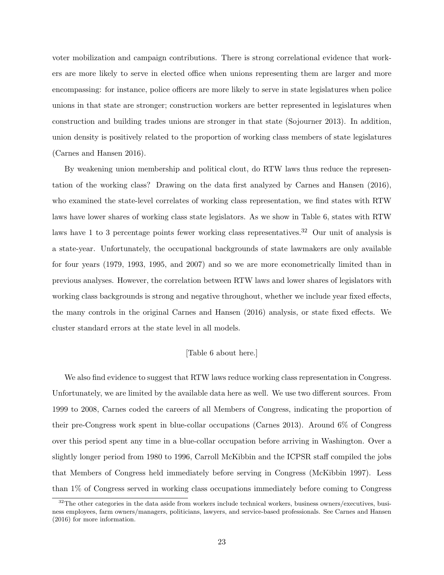voter mobilization and campaign contributions. There is strong correlational evidence that workers are more likely to serve in elected office when unions representing them are larger and more encompassing: for instance, police officers are more likely to serve in state legislatures when police unions in that state are stronger; construction workers are better represented in legislatures when construction and building trades unions are stronger in that state [\(Sojourner 2013\)](#page-52-14). In addition, union density is positively related to the proportion of working class members of state legislatures [\(Carnes and Hansen 2016\)](#page-49-14).

By weakening union membership and political clout, do RTW laws thus reduce the representation of the working class? Drawing on the data first analyzed by [Carnes and Hansen](#page-49-14) [\(2016\)](#page-49-14), who examined the state-level correlates of working class representation, we find states with RTW laws have lower shares of working class state legislators. As we show in Table [6,](#page-46-0) states with RTW laws have 1 to 3 percentage points fewer working class representatives.<sup>[32](#page-23-0)</sup> Our unit of analysis is a state-year. Unfortunately, the occupational backgrounds of state lawmakers are only available for four years (1979, 1993, 1995, and 2007) and so we are more econometrically limited than in previous analyses. However, the correlation between RTW laws and lower shares of legislators with working class backgrounds is strong and negative throughout, whether we include year fixed effects, the many controls in the original [Carnes and Hansen](#page-49-14) [\(2016\)](#page-49-14) analysis, or state fixed effects. We cluster standard errors at the state level in all models.

# [Table 6 about here.]

We also find evidence to suggest that RTW laws reduce working class representation in Congress. Unfortunately, we are limited by the available data here as well. We use two different sources. From 1999 to 2008, Carnes coded the careers of all Members of Congress, indicating the proportion of their pre-Congress work spent in blue-collar occupations [\(Carnes 2013\)](#page-49-6). Around 6% of Congress over this period spent any time in a blue-collar occupation before arriving in Washington. Over a slightly longer period from 1980 to 1996, Carroll McKibbin and the ICPSR staff compiled the jobs that Members of Congress held immediately before serving in Congress [\(McKibbin 1997\)](#page-52-10). Less than 1% of Congress served in working class occupations immediately before coming to Congress

<span id="page-23-0"></span> $32$ The other categories in the data aside from workers include technical workers, business owners/executives, business employees, farm owners/managers, politicians, lawyers, and service-based professionals. See [Carnes and Hansen](#page-49-14) [\(2016\)](#page-49-14) for more information.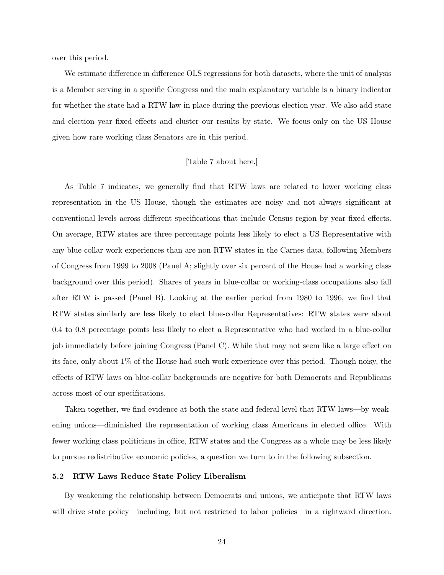over this period.

We estimate difference in difference OLS regressions for both datasets, where the unit of analysis is a Member serving in a specific Congress and the main explanatory variable is a binary indicator for whether the state had a RTW law in place during the previous election year. We also add state and election year fixed effects and cluster our results by state. We focus only on the US House given how rare working class Senators are in this period.

# [Table 7 about here.]

As Table [7](#page-47-0) indicates, we generally find that RTW laws are related to lower working class representation in the US House, though the estimates are noisy and not always significant at conventional levels across different specifications that include Census region by year fixed effects. On average, RTW states are three percentage points less likely to elect a US Representative with any blue-collar work experiences than are non-RTW states in the Carnes data, following Members of Congress from 1999 to 2008 (Panel A; slightly over six percent of the House had a working class background over this period). Shares of years in blue-collar or working-class occupations also fall after RTW is passed (Panel B). Looking at the earlier period from 1980 to 1996, we find that RTW states similarly are less likely to elect blue-collar Representatives: RTW states were about 0.4 to 0.8 percentage points less likely to elect a Representative who had worked in a blue-collar job immediately before joining Congress (Panel C). While that may not seem like a large effect on its face, only about 1% of the House had such work experience over this period. Though noisy, the effects of RTW laws on blue-collar backgrounds are negative for both Democrats and Republicans across most of our specifications.

Taken together, we find evidence at both the state and federal level that RTW laws—by weakening unions—diminished the representation of working class Americans in elected office. With fewer working class politicians in office, RTW states and the Congress as a whole may be less likely to pursue redistributive economic policies, a question we turn to in the following subsection.

#### 5.2 RTW Laws Reduce State Policy Liberalism

By weakening the relationship between Democrats and unions, we anticipate that RTW laws will drive state policy—including, but not restricted to labor policies—in a rightward direction.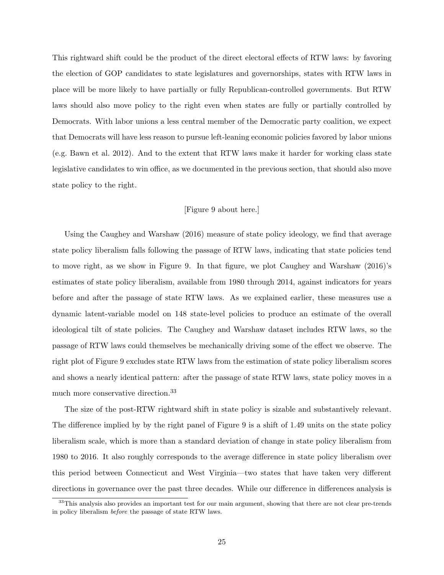This rightward shift could be the product of the direct electoral effects of RTW laws: by favoring the election of GOP candidates to state legislatures and governorships, states with RTW laws in place will be more likely to have partially or fully Republican-controlled governments. But RTW laws should also move policy to the right even when states are fully or partially controlled by Democrats. With labor unions a less central member of the Democratic party coalition, we expect that Democrats will have less reason to pursue left-leaning economic policies favored by labor unions (e.g. [Bawn et al. 2012\)](#page-49-15). And to the extent that RTW laws make it harder for working class state legislative candidates to win office, as we documented in the previous section, that should also move state policy to the right.

# [Figure 9 about here.]

Using the [Caughey and Warshaw](#page-49-4) [\(2016\)](#page-49-4) measure of state policy ideology, we find that average state policy liberalism falls following the passage of RTW laws, indicating that state policies tend to move right, as we show in Figure [9.](#page-39-0) In that figure, we plot [Caughey and Warshaw](#page-49-4) [\(2016\)](#page-49-4)'s estimates of state policy liberalism, available from 1980 through 2014, against indicators for years before and after the passage of state RTW laws. As we explained earlier, these measures use a dynamic latent-variable model on 148 state-level policies to produce an estimate of the overall ideological tilt of state policies. The Caughey and Warshaw dataset includes RTW laws, so the passage of RTW laws could themselves be mechanically driving some of the effect we observe. The right plot of Figure [9](#page-39-0) excludes state RTW laws from the estimation of state policy liberalism scores and shows a nearly identical pattern: after the passage of state RTW laws, state policy moves in a much more conservative direction.[33](#page-25-0)

The size of the post-RTW rightward shift in state policy is sizable and substantively relevant. The difference implied by by the right panel of Figure [9](#page-39-0) is a shift of 1.49 units on the state policy liberalism scale, which is more than a standard deviation of change in state policy liberalism from 1980 to 2016. It also roughly corresponds to the average difference in state policy liberalism over this period between Connecticut and West Virginia—two states that have taken very different directions in governance over the past three decades. While our difference in differences analysis is

<span id="page-25-0"></span><sup>&</sup>lt;sup>33</sup>This analysis also provides an important test for our main argument, showing that there are not clear pre-trends in policy liberalism before the passage of state RTW laws.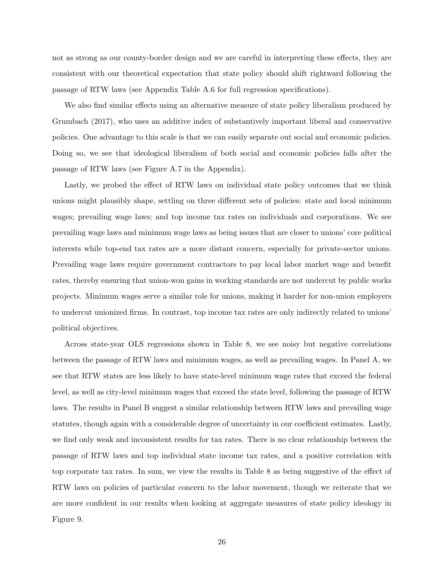not as strong as our county-border design and we are careful in interpreting these effects, they are consistent with our theoretical expectation that state policy should shift rightward following the passage of RTW laws (see Appendix Table [A.6](#page-69-0) for full regression specifications).

We also find similar effects using an alternative measure of state policy liberalism produced by [Grumbach](#page-51-5) [\(2017\)](#page-51-5), who uses an additive index of substantively important liberal and conservative policies. One advantage to this scale is that we can easily separate out social and economic policies. Doing so, we see that ideological liberalism of both social and economic policies falls after the passage of RTW laws (see Figure [A.7](#page-63-0) in the Appendix).

Lastly, we probed the effect of RTW laws on individual state policy outcomes that we think unions might plausibly shape, settling on three different sets of policies: state and local minimum wages; prevailing wage laws; and top income tax rates on individuals and corporations. We see prevailing wage laws and minimum wage laws as being issues that are closer to unions' core political interests while top-end tax rates are a more distant concern, especially for private-sector unions. Prevailing wage laws require government contractors to pay local labor market wage and benefit rates, thereby ensuring that union-won gains in working standards are not undercut by public works projects. Minimum wages serve a similar role for unions, making it harder for non-union employers to undercut unionized firms. In contrast, top income tax rates are only indirectly related to unions' political objectives.

Across state-year OLS regressions shown in Table [8,](#page-48-0) we see noisy but negative correlations between the passage of RTW laws and minimum wages, as well as prevailing wages. In Panel A, we see that RTW states are less likely to have state-level minimum wage rates that exceed the federal level, as well as city-level minimum wages that exceed the state level, following the passage of RTW laws. The results in Panel B suggest a similar relationship between RTW laws and prevailing wage statutes, though again with a considerable degree of uncertainty in our coefficient estimates. Lastly, we find only weak and inconsistent results for tax rates. There is no clear relationship between the passage of RTW laws and top individual state income tax rates, and a positive correlation with top corporate tax rates. In sum, we view the results in Table [8](#page-48-0) as being suggestive of the effect of RTW laws on policies of particular concern to the labor movement, though we reiterate that we are more confident in our results when looking at aggregate measures of state policy ideology in Figure [9.](#page-39-0)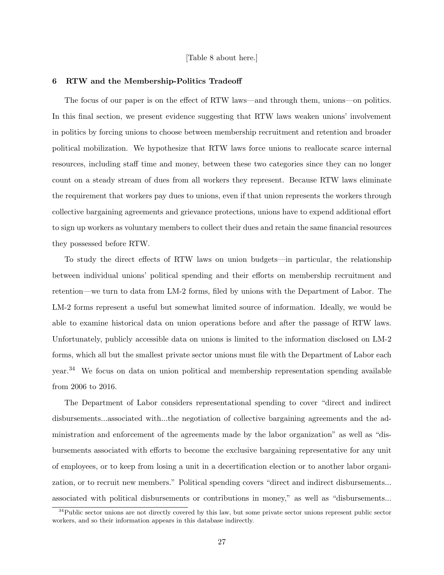## [Table 8 about here.]

#### 6 RTW and the Membership-Politics Tradeoff

The focus of our paper is on the effect of RTW laws—and through them, unions—on politics. In this final section, we present evidence suggesting that RTW laws weaken unions' involvement in politics by forcing unions to choose between membership recruitment and retention and broader political mobilization. We hypothesize that RTW laws force unions to reallocate scarce internal resources, including staff time and money, between these two categories since they can no longer count on a steady stream of dues from all workers they represent. Because RTW laws eliminate the requirement that workers pay dues to unions, even if that union represents the workers through collective bargaining agreements and grievance protections, unions have to expend additional effort to sign up workers as voluntary members to collect their dues and retain the same financial resources they possessed before RTW.

To study the direct effects of RTW laws on union budgets—in particular, the relationship between individual unions' political spending and their efforts on membership recruitment and retention—we turn to data from LM-2 forms, filed by unions with the Department of Labor. The LM-2 forms represent a useful but somewhat limited source of information. Ideally, we would be able to examine historical data on union operations before and after the passage of RTW laws. Unfortunately, publicly accessible data on unions is limited to the information disclosed on LM-2 forms, which all but the smallest private sector unions must file with the Department of Labor each year.[34](#page-27-0) We focus on data on union political and membership representation spending available from 2006 to 2016.

The Department of Labor considers representational spending to cover "direct and indirect disbursements...associated with...the negotiation of collective bargaining agreements and the administration and enforcement of the agreements made by the labor organization" as well as "disbursements associated with efforts to become the exclusive bargaining representative for any unit of employees, or to keep from losing a unit in a decertification election or to another labor organization, or to recruit new members." Political spending covers "direct and indirect disbursements... associated with political disbursements or contributions in money," as well as "disbursements...

<span id="page-27-0"></span> $34$ Public sector unions are not directly covered by this law, but some private sector unions represent public sector workers, and so their information appears in this database indirectly.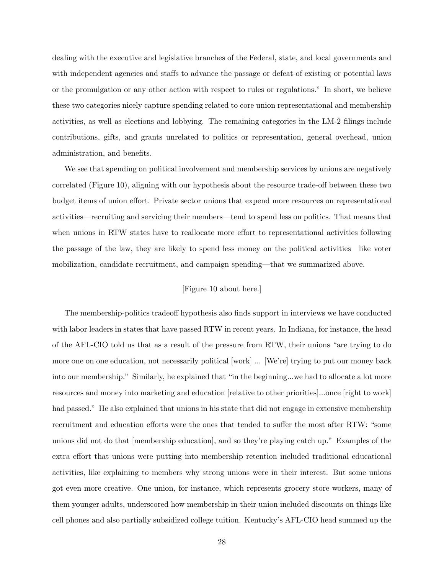dealing with the executive and legislative branches of the Federal, state, and local governments and with independent agencies and staffs to advance the passage or defeat of existing or potential laws or the promulgation or any other action with respect to rules or regulations." In short, we believe these two categories nicely capture spending related to core union representational and membership activities, as well as elections and lobbying. The remaining categories in the LM-2 filings include contributions, gifts, and grants unrelated to politics or representation, general overhead, union administration, and benefits.

We see that spending on political involvement and membership services by unions are negatively correlated (Figure [10\)](#page-40-0), aligning with our hypothesis about the resource trade-off between these two budget items of union effort. Private sector unions that expend more resources on representational activities—recruiting and servicing their members—tend to spend less on politics. That means that when unions in RTW states have to reallocate more effort to representational activities following the passage of the law, they are likely to spend less money on the political activities—like voter mobilization, candidate recruitment, and campaign spending—that we summarized above.

# [Figure 10 about here.]

The membership-politics tradeoff hypothesis also finds support in interviews we have conducted with labor leaders in states that have passed RTW in recent years. In Indiana, for instance, the head of the AFL-CIO told us that as a result of the pressure from RTW, their unions "are trying to do more one on one education, not necessarily political [work] ... [We're] trying to put our money back into our membership." Similarly, he explained that "in the beginning...we had to allocate a lot more resources and money into marketing and education [relative to other priorities]...once [right to work] had passed." He also explained that unions in his state that did not engage in extensive membership recruitment and education efforts were the ones that tended to suffer the most after RTW: "some unions did not do that [membership education], and so they're playing catch up." Examples of the extra effort that unions were putting into membership retention included traditional educational activities, like explaining to members why strong unions were in their interest. But some unions got even more creative. One union, for instance, which represents grocery store workers, many of them younger adults, underscored how membership in their union included discounts on things like cell phones and also partially subsidized college tuition. Kentucky's AFL-CIO head summed up the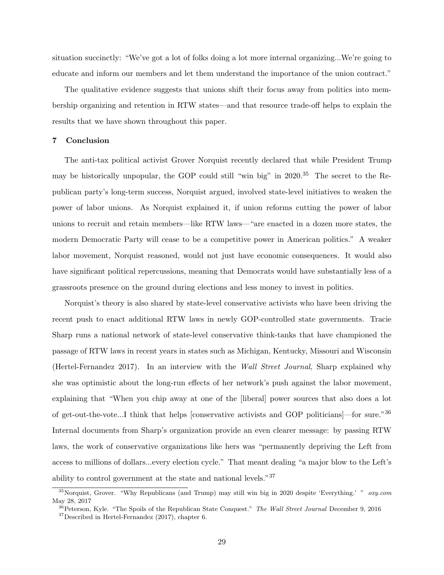situation succinctly: "We've got a lot of folks doing a lot more internal organizing...We're going to educate and inform our members and let them understand the importance of the union contract."

The qualitative evidence suggests that unions shift their focus away from politics into membership organizing and retention in RTW states—and that resource trade-off helps to explain the results that we have shown throughout this paper.

## 7 Conclusion

The anti-tax political activist Grover Norquist recently declared that while President Trump may be historically unpopular, the GOP could still "win big" in 2020.<sup>[35](#page-29-0)</sup> The secret to the Republican party's long-term success, Norquist argued, involved state-level initiatives to weaken the power of labor unions. As Norquist explained it, if union reforms cutting the power of labor unions to recruit and retain members—like RTW laws—"are enacted in a dozen more states, the modern Democratic Party will cease to be a competitive power in American politics." A weaker labor movement, Norquist reasoned, would not just have economic consequences. It would also have significant political repercussions, meaning that Democrats would have substantially less of a grassroots presence on the ground during elections and less money to invest in politics.

Norquist's theory is also shared by state-level conservative activists who have been driving the recent push to enact additional RTW laws in newly GOP-controlled state governments. Tracie Sharp runs a national network of state-level conservative think-tanks that have championed the passage of RTW laws in recent years in states such as Michigan, Kentucky, Missouri and Wisconsin [\(Hertel-Fernandez 2017\)](#page-51-9). In an interview with the Wall Street Journal, Sharp explained why she was optimistic about the long-run effects of her network's push against the labor movement, explaining that "When you chip away at one of the [liberal] power sources that also does a lot of get-out-the-vote...I think that helps [conservative activists and GOP politicians]—for sure."[36](#page-29-1) Internal documents from Sharp's organization provide an even clearer message: by passing RTW laws, the work of conservative organizations like hers was "permanently depriving the Left from access to millions of dollars...every election cycle." That meant dealing "a major blow to the Left's ability to control government at the state and national levels."[37](#page-29-2)

<span id="page-29-0"></span><sup>&</sup>lt;sup>35</sup>[Norquist, Grover. "Why Republicans \(and Trump\) may still win big in 2020 despite 'Everything.' "](http://www.ozy.com/politics-and-power/why-republicans-and-trump-may-still-win-big-in-2020-despite-everything/78775)  $oxy.com$ [May 28, 2017](http://www.ozy.com/politics-and-power/why-republicans-and-trump-may-still-win-big-in-2020-despite-everything/78775)

<span id="page-29-1"></span> $36$ [Peterson, Kyle. "The Spoils of the Republican State Conquest."](https://www.wsj.com/articles/the-spoils-of-the-republican-state-conquest-1481326770) The Wall Street Journal December 9, 2016

<span id="page-29-2"></span> $37$ Described in [Hertel-Fernandez](#page-51-9) [\(2017\)](#page-51-9), chapter 6.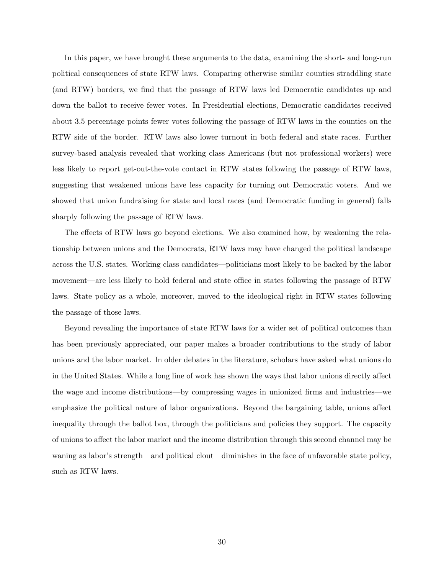In this paper, we have brought these arguments to the data, examining the short- and long-run political consequences of state RTW laws. Comparing otherwise similar counties straddling state (and RTW) borders, we find that the passage of RTW laws led Democratic candidates up and down the ballot to receive fewer votes. In Presidential elections, Democratic candidates received about 3.5 percentage points fewer votes following the passage of RTW laws in the counties on the RTW side of the border. RTW laws also lower turnout in both federal and state races. Further survey-based analysis revealed that working class Americans (but not professional workers) were less likely to report get-out-the-vote contact in RTW states following the passage of RTW laws, suggesting that weakened unions have less capacity for turning out Democratic voters. And we showed that union fundraising for state and local races (and Democratic funding in general) falls sharply following the passage of RTW laws.

The effects of RTW laws go beyond elections. We also examined how, by weakening the relationship between unions and the Democrats, RTW laws may have changed the political landscape across the U.S. states. Working class candidates—politicians most likely to be backed by the labor movement—are less likely to hold federal and state office in states following the passage of RTW laws. State policy as a whole, moreover, moved to the ideological right in RTW states following the passage of those laws.

Beyond revealing the importance of state RTW laws for a wider set of political outcomes than has been previously appreciated, our paper makes a broader contributions to the study of labor unions and the labor market. In older debates in the literature, scholars have asked what unions do in the United States. While a long line of work has shown the ways that labor unions directly affect the wage and income distributions—by compressing wages in unionized firms and industries—we emphasize the political nature of labor organizations. Beyond the bargaining table, unions affect inequality through the ballot box, through the politicians and policies they support. The capacity of unions to affect the labor market and the income distribution through this second channel may be waning as labor's strength—and political clout—diminishes in the face of unfavorable state policy, such as RTW laws.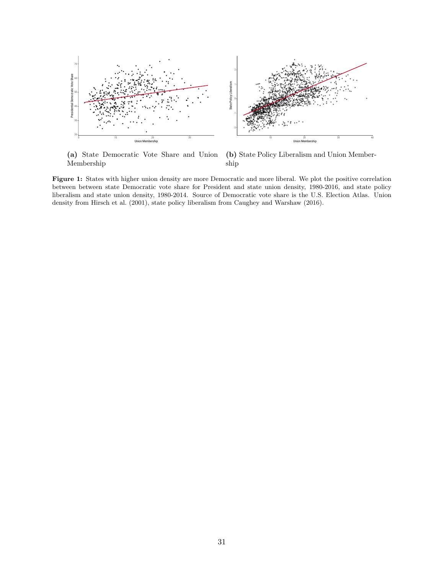<span id="page-31-0"></span>

(a) State Democratic Vote Share and Union Membership

(b) State Policy Liberalism and Union Membership

Figure 1: States with higher union density are more Democratic and more liberal. We plot the positive correlation between between state Democratic vote share for President and state union density, 1980-2016, and state policy liberalism and state union density, 1980-2014. Source of Democratic vote share is the U.S. Election Atlas. Union density from [Hirsch et al.](#page-51-3) [\(2001\)](#page-51-3), state policy liberalism from [Caughey and Warshaw](#page-49-4) [\(2016\)](#page-49-4).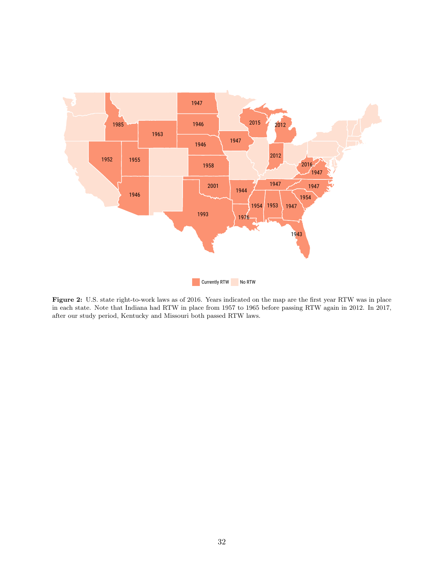<span id="page-32-0"></span>

Figure 2: U.S. state right-to-work laws as of 2016. Years indicated on the map are the first year RTW was in place in each state. Note that Indiana had RTW in place from 1957 to 1965 before passing RTW again in 2012. In 2017, after our study period, Kentucky and Missouri both passed RTW laws.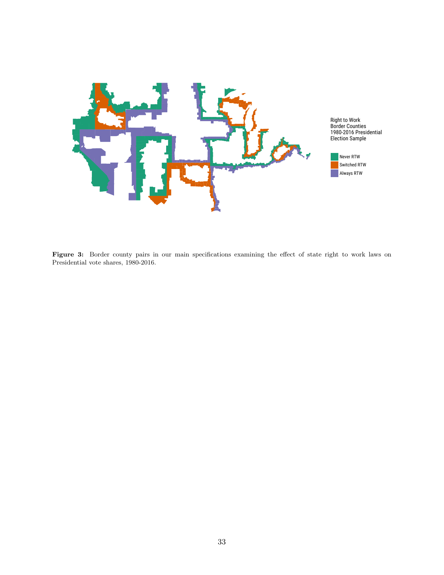<span id="page-33-0"></span>

Figure 3: Border county pairs in our main specifications examining the effect of state right to work laws on Presidential vote shares, 1980-2016.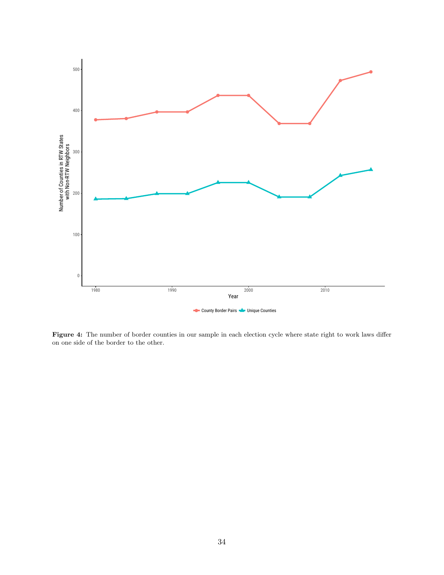<span id="page-34-0"></span>

Figure 4: The number of border counties in our sample in each election cycle where state right to work laws differ on one side of the border to the other.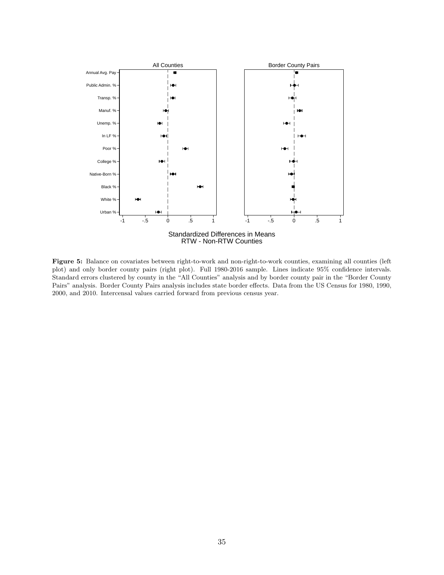<span id="page-35-0"></span>

Figure 5: Balance on covariates between right-to-work and non-right-to-work counties, examining all counties (left plot) and only border county pairs (right plot). Full 1980-2016 sample. Lines indicate 95% confidence intervals. Standard errors clustered by county in the "All Counties" analysis and by border county pair in the "Border County Pairs" analysis. Border County Pairs analysis includes state border effects. Data from the US Census for 1980, 1990, 2000, and 2010. Intercensal values carried forward from previous census year.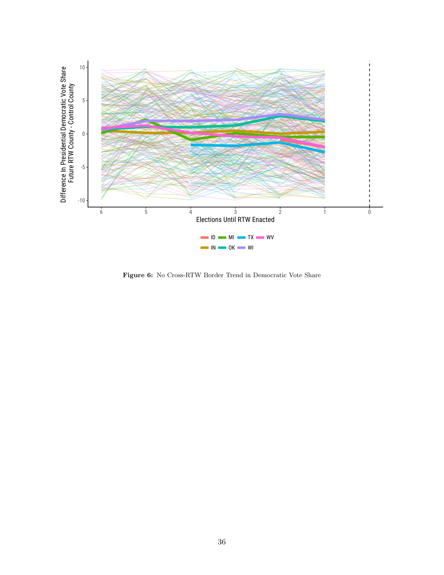<span id="page-36-0"></span>

Figure 6: No Cross-RTW Border Trend in Democratic Vote Share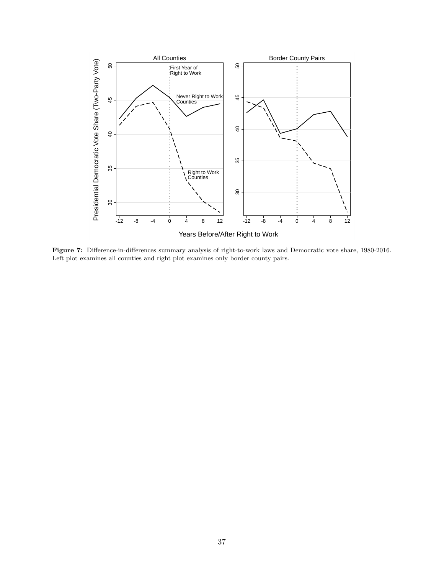<span id="page-37-0"></span>

Figure 7: Difference-in-differences summary analysis of right-to-work laws and Democratic vote share, 1980-2016. Left plot examines all counties and right plot examines only border county pairs.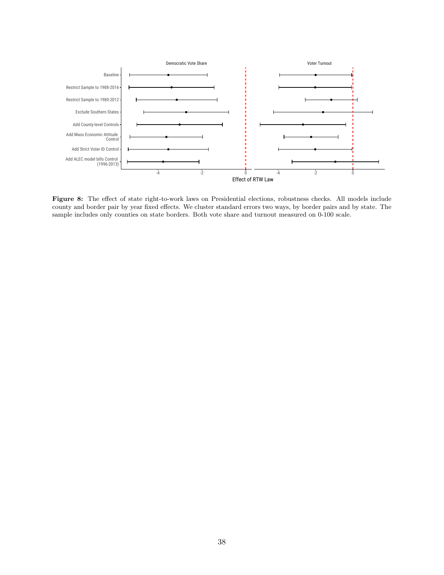<span id="page-38-0"></span>

Figure 8: The effect of state right-to-work laws on Presidential elections, robustness checks. All models include county and border pair by year fixed effects. We cluster standard errors two ways, by border pairs and by state. The sample includes only counties on state borders. Both vote share and turnout measured on 0-100 scale.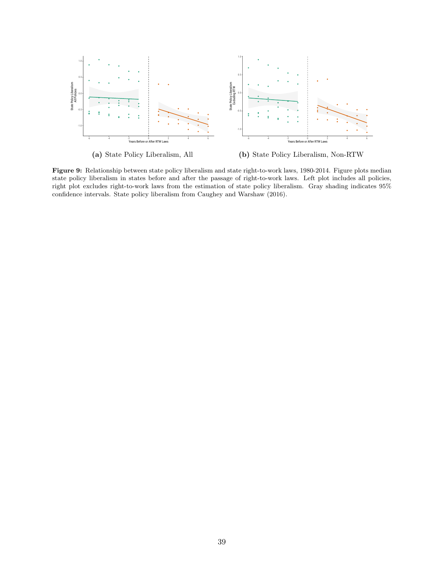<span id="page-39-0"></span>

(a) State Policy Liberalism, All (b) State Policy Liberalism, Non-RTW

Figure 9: Relationship between state policy liberalism and state right-to-work laws, 1980-2014. Figure plots median state policy liberalism in states before and after the passage of right-to-work laws. Left plot includes all policies, right plot excludes right-to-work laws from the estimation of state policy liberalism. Gray shading indicates 95% confidence intervals. State policy liberalism from [Caughey and Warshaw](#page-49-4) [\(2016\)](#page-49-4).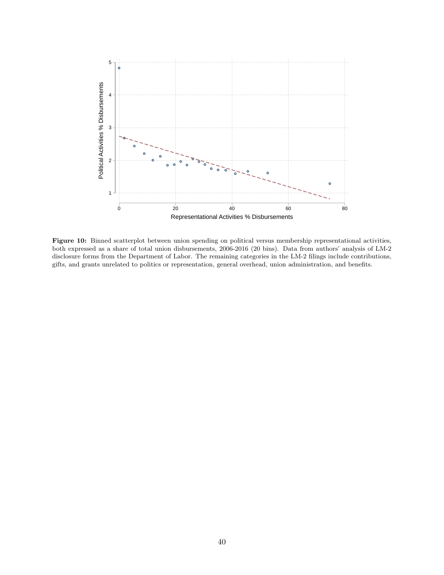<span id="page-40-0"></span>

Figure 10: Binned scatterplot between union spending on political versus membership representational activities, both expressed as a share of total union disbursements, 2006-2016 (20 bins). Data from authors' analysis of LM-2 disclosure forms from the Department of Labor. The remaining categories in the LM-2 filings include contributions, gifts, and grants unrelated to politics or representation, general overhead, union administration, and benefits.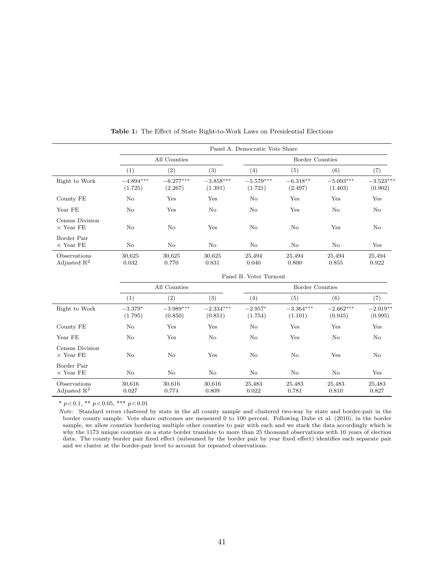<span id="page-41-0"></span>

|                                         |                        |                        |                        | Panel A. Democratic Vote Share |                        |                        |                        |  |  |  |
|-----------------------------------------|------------------------|------------------------|------------------------|--------------------------------|------------------------|------------------------|------------------------|--|--|--|
|                                         |                        | All Counties           |                        |                                | <b>Border Counties</b> |                        |                        |  |  |  |
|                                         | (1)                    | (2)                    | (3)                    | (4)                            | (5)                    | (6)                    | (7)                    |  |  |  |
| Right to Work                           | $-4.894***$<br>(1.725) | $-6.277***$<br>(2.267) | $-3.858***$<br>(1.391) | $-5.579***$<br>(1.721)         | $-6.318**$<br>(2.497)  | $-5.093***$<br>(1.403) | $-3.523***$<br>(0.902) |  |  |  |
| County FE                               | No                     | Yes                    | Yes                    | No                             | Yes                    | Yes                    | Yes                    |  |  |  |
| Year FE                                 | No                     | Yes                    | No                     | No                             | Yes                    | No                     | No                     |  |  |  |
| Census Division<br>$\times$ Year FE     | No                     | No                     | Yes                    | No                             | No                     | Yes                    | No                     |  |  |  |
| Border Pair<br>$\times$ Year FE         | No                     | $\rm No$               | No                     | No                             | No                     | No                     | Yes                    |  |  |  |
| Observations<br>Adjusted $\mathbf{R}^2$ | 30,625<br>0.032        | 30,625<br>0.770        | 30,625<br>0.831        | 25,494<br>0.040                | 25,494<br>0.800        | 25,494<br>0.855        | 25,494<br>0.922        |  |  |  |
|                                         | Panel B. Voter Turnout |                        |                        |                                |                        |                        |                        |  |  |  |
|                                         | All Counties           |                        |                        | <b>Border Counties</b>         |                        |                        |                        |  |  |  |
|                                         | (1)                    | (2)                    | (3)                    | (4)                            | (5)                    | (6)                    | (7)                    |  |  |  |
| Right to Work                           | $-3.379*$<br>(1.795)   | $-3.989***$<br>(0.850) | $-2.334***$<br>(0.851) | $-2.957*$<br>(1.754)           | $-3.364***$<br>(1.101) | $-2.662***$<br>(0.945) | $-2.019**$<br>(0.995)  |  |  |  |
| County FE                               | No                     | Yes                    | Yes                    | No                             | Yes                    | Yes                    | Yes                    |  |  |  |
| Year FE                                 | No                     | Yes                    | No                     | No                             | Yes                    | No                     | No                     |  |  |  |
| Census Division<br>$\times$ Year FE     | No                     | $\rm No$               | Yes                    | No                             | No                     | Yes                    | No                     |  |  |  |
| Border Pair<br>$\times$ Year FE         | N <sub>o</sub>         | No                     | N <sub>o</sub>         | No                             | No                     | No                     | Yes                    |  |  |  |
| Observations<br>Adjusted $\mathbb{R}^2$ | 30,616<br>0.027        | 30,616<br>0.774        | 30,616<br>0.809        | 25,483<br>0.022                | 25,483<br>0.781        | 25,483<br>0.810        | 25,483<br>0.827        |  |  |  |

Table 1: The Effect of State Right-to-Work Laws on Presidential Elections

Note: Standard errors clustered by state in the all county sample and clustered two-way by state and border-pair in the border county sample. Vote share outcomes are measured 0 to 100 percent. Following [Dube et al.](#page-50-13) [\(2010\)](#page-50-13), in the border sample, we allow counties bordering multiple other counties to pair with each and we stack the data accordingly which is why the 1173 unique counties on a state border translate to more than 25 thousand observations with 10 years of election data. The county border pair fixed effect (subsumed by the border pair by year fixed effect) identifies each separate pair and we cluster at the border-pair level to account for repeated observations.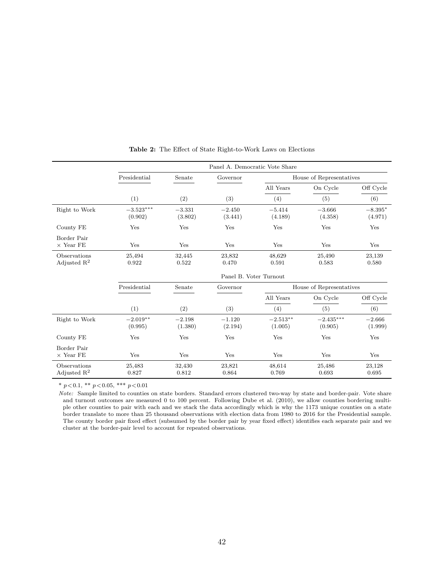<span id="page-42-0"></span>

|                                         | Panel A. Democratic Vote Share |                     |                     |                          |                          |                      |  |  |  |
|-----------------------------------------|--------------------------------|---------------------|---------------------|--------------------------|--------------------------|----------------------|--|--|--|
|                                         | Presidential                   | Senate              | Governor            |                          | House of Representatives |                      |  |  |  |
|                                         |                                |                     |                     | All Years                | On Cycle                 | Off Cycle            |  |  |  |
|                                         | (1)                            | (2)                 | (3)                 | (4)                      | (5)                      | (6)                  |  |  |  |
| Right to Work                           | $-3.523***$<br>(0.902)         | $-3.331$<br>(3.802) | $-2.450$<br>(3.441) | $-5.414$<br>(4.189)      | $-3.666$<br>(4.358)      | $-8.395*$<br>(4.971) |  |  |  |
| County FE                               | Yes                            | Yes                 | Yes                 | Yes                      | Yes                      | Yes                  |  |  |  |
| Border Pair<br>$\times$ Year FE         | Yes                            | Yes                 | Yes                 | Yes                      | Yes                      | Yes                  |  |  |  |
| Observations<br>Adjusted $\mathbb{R}^2$ | 25,494<br>0.922                | 32,445<br>0.522     | 23,832<br>0.470     | 48,629<br>0.591          | 25,490<br>0.583          | 23,139<br>0.580      |  |  |  |
|                                         |                                |                     |                     | Panel B. Voter Turnout   |                          |                      |  |  |  |
|                                         | Presidential                   | Senate              | Governor            | House of Representatives |                          |                      |  |  |  |
|                                         |                                |                     |                     | All Years                | On Cycle                 | Off Cycle            |  |  |  |
|                                         | (1)                            | (2)                 | (3)                 | (4)                      | (5)                      | (6)                  |  |  |  |
| Right to Work                           | $-2.019**$<br>(0.995)          | $-2.198$<br>(1.380) | $-1.120$<br>(2.194) | $-2.513**$<br>(1.005)    | $-2.435***$<br>(0.905)   | $-2.666$<br>(1.999)  |  |  |  |
| County FE                               | Yes                            | Yes                 | Yes                 | Yes                      | Yes                      | Yes                  |  |  |  |
| Border Pair<br>$\times$ Year FE         | Yes                            | Yes                 | Yes                 | Yes                      | Yes                      | Yes                  |  |  |  |
| Observations<br>Adjusted $\mathbb{R}^2$ | 25,483<br>0.827                | 32,430<br>0.812     | 23,821<br>0.864     | 48,614<br>0.769          | 25,486<br>0.693          | 23,128<br>0.695      |  |  |  |

Table 2: The Effect of State Right-to-Work Laws on Elections

\* $p\!<\!0.1,$ \*\* $p\!<\!0.05,$ \*\*\* $p\!<\!0.01$ 

Note: Sample limited to counties on state borders. Standard errors clustered two-way by state and border-pair. Vote share and turnout outcomes are measured 0 to 100 percent. Following [Dube et al.](#page-50-13) [\(2010\)](#page-50-13), we allow counties bordering multiple other counties to pair with each and we stack the data accordingly which is why the 1173 unique counties on a state border translate to more than 25 thousand observations with election data from 1980 to 2016 for the Presidential sample. The county border pair fixed effect (subsumed by the border pair by year fixed effect) identifies each separate pair and we cluster at the border-pair level to account for repeated observations.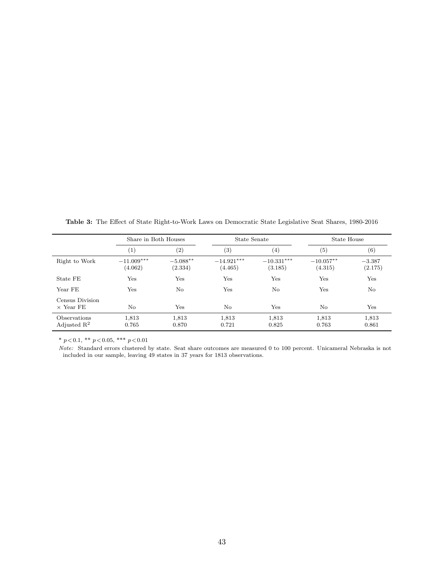<span id="page-43-0"></span>Table 3: The Effect of State Right-to-Work Laws on Democratic State Legislative Seat Shares, 1980-2016

|                                         | Share in Both Houses    |                        | State Senate            |                         | State House            |                     |
|-----------------------------------------|-------------------------|------------------------|-------------------------|-------------------------|------------------------|---------------------|
|                                         | (1)                     | (2)                    | $\left( 3\right)$       | $\left( 4\right)$       | (5)                    | (6)                 |
| Right to Work                           | $-11.009***$<br>(4.062) | $-5.088***$<br>(2.334) | $-14.921***$<br>(4.465) | $-10.331***$<br>(3.185) | $-10.057**$<br>(4.315) | $-3.387$<br>(2.175) |
| State FE                                | Yes                     | Yes                    | Yes                     | Yes                     | Yes                    | Yes                 |
| Year FE                                 | Yes                     | No                     | Yes                     | No                      | Yes                    | No                  |
| Census Division<br>$\times$ Year FE     | No                      | $_{\rm Yes}$           | No                      | Yes                     | No                     | Yes                 |
| Observations<br>Adjusted $\mathbb{R}^2$ | 1,813<br>0.765          | 1,813<br>0.870         | 1,813<br>0.721          | 1,813<br>0.825          | 1,813<br>0.763         | 1,813<br>0.861      |

Note: Standard errors clustered by state. Seat share outcomes are measured 0 to 100 percent. Unicameral Nebraska is not included in our sample, leaving 49 states in 37 years for 1813 observations.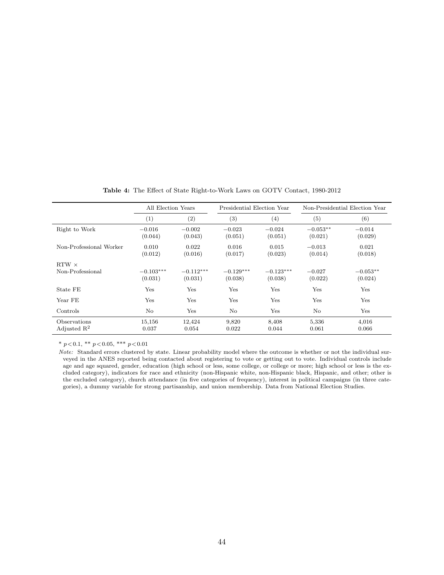<span id="page-44-0"></span>

|                                         | All Election Years     |                        | Presidential Election Year |                        | Non-Presidential Election Year |                       |
|-----------------------------------------|------------------------|------------------------|----------------------------|------------------------|--------------------------------|-----------------------|
|                                         | (1)                    | (2)                    | $^{(3)}$                   | (4)                    | (5)                            | (6)                   |
| Right to Work                           | $-0.016$<br>(0.044)    | $-0.002$<br>(0.043)    | $-0.023$<br>(0.051)        | $-0.024$<br>(0.051)    | $-0.053**$<br>(0.021)          | $-0.014$<br>(0.029)   |
| Non-Professional Worker                 | 0.010<br>(0.012)       | 0.022<br>(0.016)       | 0.016<br>(0.017)           | 0.015<br>(0.023)       | $-0.013$<br>(0.014)            | 0.021<br>(0.018)      |
| $RTW \times$<br>Non-Professional        | $-0.103***$<br>(0.031) | $-0.112***$<br>(0.031) | $-0.129***$<br>(0.038)     | $-0.123***$<br>(0.038) | $-0.027$<br>(0.022)            | $-0.053**$<br>(0.024) |
| State FE                                | Yes                    | Yes                    | Yes                        | Yes                    | Yes                            | Yes                   |
| Year FE                                 | Yes                    | Yes                    | Yes                        | Yes                    | Yes                            | Yes                   |
| Controls                                | No                     | Yes                    | $\rm No$                   | Yes                    | No                             | Yes                   |
| Observations<br>Adjusted $\mathbb{R}^2$ | 15,156<br>0.037        | 12,424<br>0.054        | 9,820<br>0.022             | 8,408<br>0.044         | 5,336<br>0.061                 | 4,016<br>0.066        |

Table 4: The Effect of State Right-to-Work Laws on GOTV Contact, 1980-2012

Note: Standard errors clustered by state. Linear probability model where the outcome is whether or not the individual surveyed in the ANES reported being contacted about registering to vote or getting out to vote. Individual controls include age and age squared, gender, education (high school or less, some college, or college or more; high school or less is the excluded category), indicators for race and ethnicity (non-Hispanic white, non-Hispanic black, Hispanic, and other; other is the excluded category), church attendance (in five categories of frequency), interest in political campaigns (in three categories), a dummy variable for strong partisanship, and union membership. Data from National Election Studies.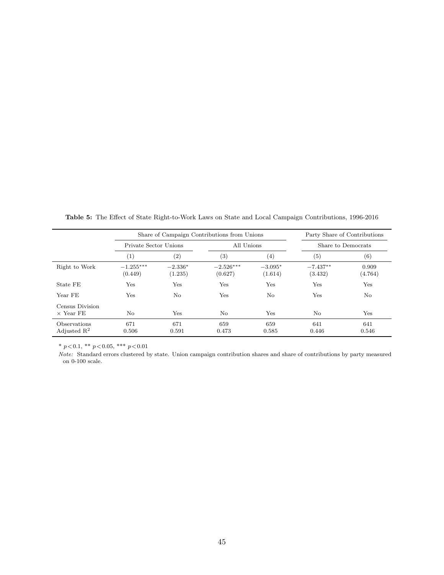|                                         |                        | Share of Campaign Contributions from Unions |                        | Party Share of Contributions |                       |                    |  |
|-----------------------------------------|------------------------|---------------------------------------------|------------------------|------------------------------|-----------------------|--------------------|--|
|                                         | Private Sector Unions  |                                             |                        | All Unions                   |                       | Share to Democrats |  |
|                                         | (1)                    | $\left( 2\right)$                           | (3)                    | $^{(4)}$                     | $\left( 5\right)$     | $\left( 6\right)$  |  |
| Right to Work                           | $-1.255***$<br>(0.449) | $-2.336*$<br>(1.235)                        | $-2.526***$<br>(0.627) | $-3.095*$<br>(1.614)         | $-7.437**$<br>(3.432) | 0.909<br>(4.764)   |  |
| State FE                                | Yes                    | Yes                                         | Yes                    | Yes                          | Yes                   | Yes                |  |
| Year FE                                 | Yes                    | $\rm No$                                    | Yes                    | No                           | Yes                   | No                 |  |
| Census Division<br>$\times$ Year FE     | No                     | Yes                                         | No                     | Yes                          | N <sub>o</sub>        | Yes                |  |
| Observations<br>Adjusted $\mathbb{R}^2$ | 671<br>0.506           | 671<br>0.591                                | 659<br>0.473           | 659<br>0.585                 | 641<br>0.446          | 641<br>0.546       |  |

<span id="page-45-0"></span>Table 5: The Effect of State Right-to-Work Laws on State and Local Campaign Contributions, 1996-2016

Note: Standard errors clustered by state. Union campaign contribution shares and share of contributions by party measured on 0-100 scale.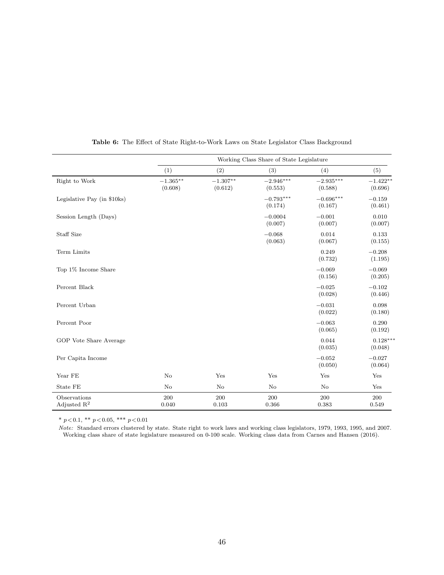<span id="page-46-0"></span>

|                                         | Working Class Share of State Legislature |                       |                        |                        |                       |  |  |
|-----------------------------------------|------------------------------------------|-----------------------|------------------------|------------------------|-----------------------|--|--|
|                                         | (1)                                      | (2)                   | (3)                    | (4)                    | (5)                   |  |  |
| Right to Work                           | $-1.365***$<br>(0.608)                   | $-1.307**$<br>(0.612) | $-2.946***$<br>(0.553) | $-2.935***$<br>(0.588) | $-1.422**$<br>(0.696) |  |  |
| Legislative Pay (in \$10ks)             |                                          |                       | $-0.793***$<br>(0.174) | $-0.696***$<br>(0.167) | $-0.159$<br>(0.461)   |  |  |
| Session Length (Days)                   |                                          |                       | $-0.0004$<br>(0.007)   | $-0.001$<br>(0.007)    | 0.010<br>(0.007)      |  |  |
| Staff Size                              |                                          |                       | $-0.068$<br>(0.063)    | 0.014<br>(0.067)       | 0.133<br>(0.155)      |  |  |
| Term Limits                             |                                          |                       |                        | 0.249<br>(0.732)       | $-0.208$<br>(1.195)   |  |  |
| Top 1% Income Share                     |                                          |                       |                        | $-0.069$<br>(0.156)    | $-0.069$<br>(0.205)   |  |  |
| Percent Black                           |                                          |                       |                        | $-0.025$<br>(0.028)    | $-0.102$<br>(0.446)   |  |  |
| Percent Urban                           |                                          |                       |                        | $-0.031$<br>(0.022)    | 0.098<br>(0.180)      |  |  |
| Percent Poor                            |                                          |                       |                        | $-0.063$<br>(0.065)    | 0.290<br>(0.192)      |  |  |
| GOP Vote Share Average                  |                                          |                       |                        | 0.044<br>(0.035)       | $0.128***$<br>(0.048) |  |  |
| Per Capita Income                       |                                          |                       |                        | $-0.052$<br>(0.050)    | $-0.027$<br>(0.064)   |  |  |
| Year FE                                 | No                                       | Yes                   | Yes                    | Yes                    | Yes                   |  |  |
| State FE                                | $\rm No$                                 | $\rm No$              | $\rm No$               | No                     | Yes                   |  |  |
| Observations<br>Adjusted $\mathbb{R}^2$ | 200<br>0.040                             | 200<br>0.103          | 200<br>0.366           | 200<br>0.383           | $200\,$<br>0.549      |  |  |

Table 6: The Effect of State Right-to-Work Laws on State Legislator Class Background

\* $p\!<\!0.1,$ \*\* $p\!<\!0.05,$ \*\*\* $p\!<\!0.01$ 

Note: Standard errors clustered by state. State right to work laws and working class legislators, 1979, 1993, 1995, and 2007. Working class share of state legislature measured on 0-100 scale. Working class data from [Carnes and Hansen](#page-49-14) [\(2016\)](#page-49-14).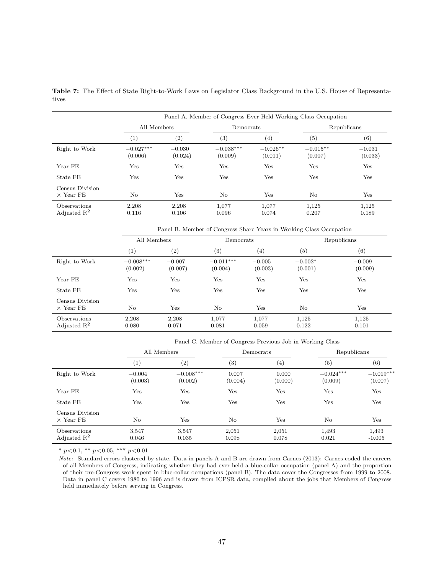|                                     |                        | Panel A. Member of Congress Ever Held Working Class Occupation |                        |                       |                       |                     |  |  |  |
|-------------------------------------|------------------------|----------------------------------------------------------------|------------------------|-----------------------|-----------------------|---------------------|--|--|--|
|                                     | All Members            |                                                                | Democrats              |                       | Republicans           |                     |  |  |  |
|                                     | $\left(1\right)$       | (2)                                                            | (3)                    | $\left( 4\right)$     | (5)                   | $^{\rm (6)}$        |  |  |  |
| Right to Work                       | $-0.027***$<br>(0.006) | $-0.030$<br>(0.024)                                            | $-0.038***$<br>(0.009) | $-0.026**$<br>(0.011) | $-0.015**$<br>(0.007) | $-0.031$<br>(0.033) |  |  |  |
| Year FE                             | Yes                    | Yes                                                            | Yes                    | Yes                   | Yes                   | Yes                 |  |  |  |
| State FE                            | Yes                    | Yes                                                            | Yes                    | Yes                   | Yes                   | Yes                 |  |  |  |
| Census Division<br>$\times$ Year FE | No                     | Yes                                                            | No                     | Yes                   | No                    | Yes                 |  |  |  |
| Observations<br>Adjusted $R^2$      | 2,208<br>0.116         | 2,208<br>0.106                                                 | 1,077<br>0.096         | 1,077<br>0.074        | 1,125<br>0.207        | 1,125<br>0.189      |  |  |  |

<span id="page-47-0"></span>Table 7: The Effect of State Right-to-Work Laws on Legislator Class Background in the U.S. House of Representatives

|                                                | Panel B. Member of Congress Share Years in Working Class Occupation |                     |                        |                     |                      |                     |  |
|------------------------------------------------|---------------------------------------------------------------------|---------------------|------------------------|---------------------|----------------------|---------------------|--|
|                                                | All Members                                                         |                     | Democrats              |                     | Republicans          |                     |  |
|                                                | $\left( 1\right)$                                                   | (2)                 | (3)                    | $\left( 4\right)$   | (5)                  | (6)                 |  |
| Right to Work                                  | $-0.008***$<br>(0.002)                                              | $-0.007$<br>(0.007) | $-0.011***$<br>(0.004) | $-0.005$<br>(0.003) | $-0.002*$<br>(0.001) | $-0.009$<br>(0.009) |  |
| Year FE                                        | Yes                                                                 | Yes                 | Yes                    | Yes                 | Yes                  | Yes                 |  |
| State FE                                       | Yes                                                                 | Yes                 | Yes                    | Yes                 | Yes                  | Yes                 |  |
| Census Division<br>$\times$ Year FE            | No                                                                  | Yes                 | No                     | Yes                 | No.                  | Yes                 |  |
| <b>Observations</b><br>Adjusted $\mathbb{R}^2$ | 2,208<br>0.080                                                      | 2.208<br>0.071      | 1,077<br>0.081         | 1.077<br>0.059      | 1,125<br>0.122       | 1,125<br>0.101      |  |

|                                                       |                     | Panel C. Member of Congress Previous Job in Working Class |                  |                  |                        |                        |  |  |
|-------------------------------------------------------|---------------------|-----------------------------------------------------------|------------------|------------------|------------------------|------------------------|--|--|
|                                                       | All Members         |                                                           | Democrats        |                  | Republicans            |                        |  |  |
|                                                       | (1)                 | (2)                                                       | $\left(3\right)$ | $^{(4)}$         | $\left( 5\right)$      | (6)                    |  |  |
| Right to Work                                         | $-0.004$<br>(0.003) | $-0.008***$<br>(0.002)                                    | 0.007<br>(0.004) | 0.000<br>(0.000) | $-0.024***$<br>(0.009) | $-0.019***$<br>(0.007) |  |  |
| Year FE                                               | Yes                 | Yes                                                       | Yes              | $_{\rm Yes}$     | Yes                    | Yes                    |  |  |
| State FE                                              | Yes                 | Yes                                                       | Yes              | Yes              | Yes                    | Yes                    |  |  |
| Census Division<br>$\times$ Year FE                   | No                  | Yes                                                       | No               | $_{\rm Yes}$     | No                     | Yes                    |  |  |
| <i><b>Observations</b></i><br>Adjusted $\mathbb{R}^2$ | 3.547<br>0.046      | 3.547<br>0.035                                            | 2,051<br>0.098   | 2,051<br>0.078   | 1,493<br>0.021         | 1,493<br>$-0.005$      |  |  |

Note: Standard errors clustered by state. Data in panels A and B are drawn from [Carnes](#page-49-6) [\(2013\)](#page-49-6): Carnes coded the careers of all Members of Congress, indicating whether they had ever held a blue-collar occupation (panel A) and the proportion of their pre-Congress work spent in blue-collar occupations (panel B). The data cover the Congresses from 1999 to 2008. Data in panel C covers 1980 to 1996 and is drawn from ICPSR data, compiled about the jobs that Members of Congress held immediately before serving in Congress.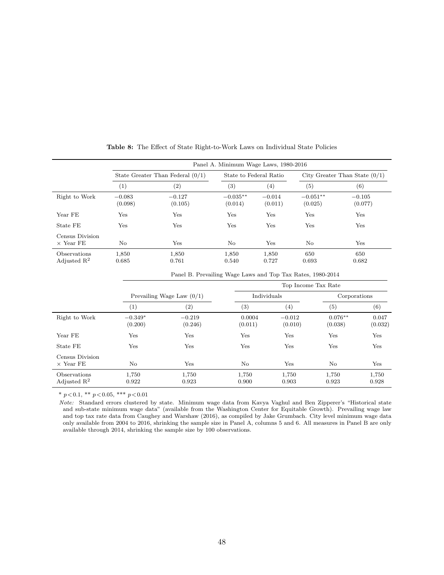<span id="page-48-0"></span>

|                                         |                             | Panel A. Minimum Wage Laws, 1980-2016                      |                       |                        |                       |                                 |                     |  |  |
|-----------------------------------------|-----------------------------|------------------------------------------------------------|-----------------------|------------------------|-----------------------|---------------------------------|---------------------|--|--|
|                                         |                             | State Greater Than Federal $(0/1)$                         |                       | State to Federal Ratio |                       | City Greater Than State $(0/1)$ |                     |  |  |
|                                         | (1)                         | (2)                                                        | (3)                   | (4)                    | (5)                   |                                 | (6)                 |  |  |
| Right to Work                           | $-0.083$<br>(0.098)         | $-0.127$<br>(0.105)                                        | $-0.035**$<br>(0.014) | $-0.014$<br>(0.011)    | $-0.051**$<br>(0.025) |                                 | $-0.105$<br>(0.077) |  |  |
| Year FE                                 | Yes                         | Yes                                                        | Yes                   | Yes                    | Yes                   |                                 | Yes                 |  |  |
| State FE                                | Yes                         | Yes                                                        | Yes                   | Yes                    | Yes                   |                                 | Yes                 |  |  |
| Census Division<br>$\times$ Year FE     | No                          | Yes                                                        | $\rm No$              | Yes                    | No                    |                                 | Yes                 |  |  |
| Observations<br>Adjusted $\mathbb{R}^2$ | 1,850<br>0.685              | 1,850<br>0.761                                             | 1,850<br>0.540        | 1,850<br>0.727         | 650<br>0.693          |                                 | 650<br>0.682        |  |  |
|                                         |                             | Panel B. Prevailing Wage Laws and Top Tax Rates, 1980-2014 |                       |                        |                       |                                 |                     |  |  |
|                                         | Top Income Tax Rate         |                                                            |                       |                        |                       |                                 |                     |  |  |
|                                         | Prevailing Wage Law $(0/1)$ |                                                            |                       | Individuals            | Corporations          |                                 |                     |  |  |
|                                         | (1)                         | (2)                                                        | (3)                   | (4)                    |                       | (5)                             | (6)                 |  |  |
| Right to Work                           | $-0.349*$<br>(0.200)        | $-0.219$<br>(0.246)                                        | 0.0004<br>(0.011)     | $-0.012$               | (0.010)               | $0.076**$<br>(0.038)            | 0.047<br>(0.032)    |  |  |
| Year FE                                 | Yes                         | Yes                                                        | Yes                   | Yes                    |                       | Yes                             | Yes                 |  |  |
| State FE                                | Yes                         | Yes                                                        | Yes                   | Yes                    |                       | Yes                             | Yes                 |  |  |
| Census Division<br>$\times$ Year FE     | $\rm No$                    | Yes                                                        | No                    | Yes                    |                       | $\rm No$                        | Yes                 |  |  |
| Observations<br>Adjusted $\mathbb{R}^2$ | 1,750<br>0.922              | 1,750<br>0.923                                             | 1,750<br>0.900        | 1,750<br>0.903         |                       | 1,750<br>0.923                  | 1,750<br>0.928      |  |  |

Table 8: The Effect of State Right-to-Work Laws on Individual State Policies

Note: Standard errors clustered by state. Minimum wage data from Kavya Vaghul and Ben Zipperer's "Historical state and sub-state minimum wage data" (available from the Washington Center for Equitable Growth). Prevailing wage law and top tax rate data from [Caughey and Warshaw](#page-49-4) [\(2016\)](#page-49-4), as compiled by Jake Grumbach. City level minimum wage data only available from 2004 to 2016, shrinking the sample size in Panel A, columns 5 and 6. All measures in Panel B are only available through 2014, shrinking the sample size by 100 observations.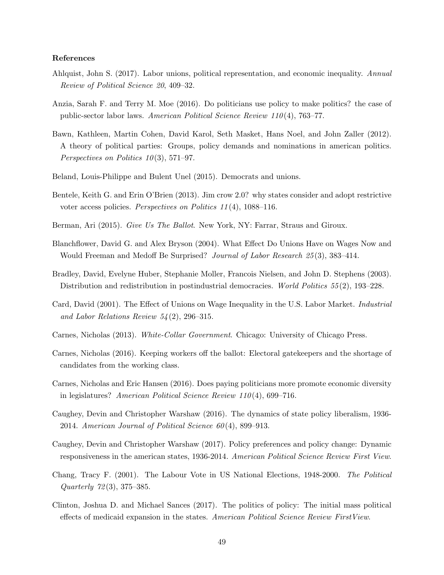#### References

- <span id="page-49-3"></span>Ahlquist, John S. (2017). Labor unions, political representation, and economic inequality. Annual Review of Political Science 20, 409–32.
- <span id="page-49-8"></span>Anzia, Sarah F. and Terry M. Moe (2016). Do politicians use policy to make politics? the case of public-sector labor laws. American Political Science Review 110 (4), 763–77.
- <span id="page-49-15"></span>Bawn, Kathleen, Martin Cohen, David Karol, Seth Masket, Hans Noel, and John Zaller (2012). A theory of political parties: Groups, policy demands and nominations in american politics. Perspectives on Politics  $10(3)$ , 571–97.
- <span id="page-49-5"></span>Beland, Louis-Philippe and Bulent Unel (2015). Democrats and unions.
- <span id="page-49-11"></span>Bentele, Keith G. and Erin O'Brien (2013). Jim crow 2.0? why states consider and adopt restrictive voter access policies. Perspectives on Politics 11 (4), 1088–116.
- <span id="page-49-12"></span>Berman, Ari (2015). Give Us The Ballot. New York, NY: Farrar, Straus and Giroux.
- <span id="page-49-0"></span>Blanchflower, David G. and Alex Bryson (2004). What Effect Do Unions Have on Wages Now and Would Freeman and Medoff Be Surprised? Journal of Labor Research 25(3), 383-414.
- <span id="page-49-7"></span>Bradley, David, Evelyne Huber, Stephanie Moller, Francois Nielsen, and John D. Stephens (2003). Distribution and redistribution in postindustrial democracies. World Politics 55(2), 193–228.
- <span id="page-49-1"></span>Card, David (2001). The Effect of Unions on Wage Inequality in the U.S. Labor Market. Industrial and Labor Relations Review  $54(2)$ , 296–315.
- <span id="page-49-6"></span>Carnes, Nicholas (2013). White-Collar Government. Chicago: University of Chicago Press.
- <span id="page-49-13"></span>Carnes, Nicholas (2016). Keeping workers off the ballot: Electoral gatekeepers and the shortage of candidates from the working class.
- <span id="page-49-14"></span>Carnes, Nicholas and Eric Hansen (2016). Does paying politicians more promote economic diversity in legislatures? American Political Science Review  $110(4)$ , 699–716.
- <span id="page-49-4"></span>Caughey, Devin and Christopher Warshaw (2016). The dynamics of state policy liberalism, 1936- 2014. American Journal of Political Science  $60(4)$ , 899-913.
- <span id="page-49-10"></span>Caughey, Devin and Christopher Warshaw (2017). Policy preferences and policy change: Dynamic responsiveness in the american states, 1936-2014. American Political Science Review First View.
- <span id="page-49-2"></span>Chang, Tracy F. (2001). The Labour Vote in US National Elections, 1948-2000. The Political Quarterly 72 (3), 375–385.
- <span id="page-49-9"></span>Clinton, Joshua D. and Michael Sances (2017). The politics of policy: The initial mass political effects of medicaid expansion in the states. American Political Science Review FirstView.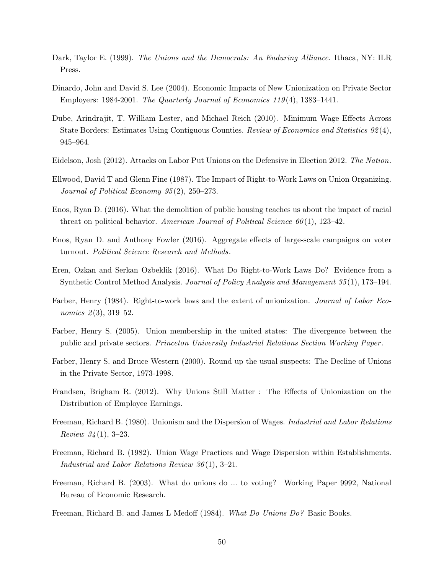- <span id="page-50-1"></span>Dark, Taylor E. (1999). The Unions and the Democrats: An Enduring Alliance. Ithaca, NY: ILR Press.
- <span id="page-50-3"></span>Dinardo, John and David S. Lee (2004). Economic Impacts of New Unionization on Private Sector Employers: 1984-2001. The Quarterly Journal of Economics  $119(4)$ , 1383-1441.
- <span id="page-50-13"></span>Dube, Arindrajit, T. William Lester, and Michael Reich (2010). Minimum Wage Effects Across State Borders: Estimates Using Contiguous Counties. Review of Economics and Statistics 92(4), 945–964.
- <span id="page-50-6"></span>Eidelson, Josh (2012). Attacks on Labor Put Unions on the Defensive in Election 2012. The Nation.
- <span id="page-50-8"></span>Ellwood, David T and Glenn Fine (1987). The Impact of Right-to-Work Laws on Union Organizing. Journal of Political Economy 95 (2), 250–273.
- <span id="page-50-15"></span>Enos, Ryan D. (2016). What the demolition of public housing teaches us about the impact of racial threat on political behavior. American Journal of Political Science  $60(1)$ , 123–42.
- <span id="page-50-14"></span>Enos, Ryan D. and Anthony Fowler (2016). Aggregate effects of large-scale campaigns on voter turnout. Political Science Research and Methods.
- <span id="page-50-10"></span>Eren, Ozkan and Serkan Ozbeklik (2016). What Do Right-to-Work Laws Do? Evidence from a Synthetic Control Method Analysis. Journal of Policy Analysis and Management 35 (1), 173–194.
- <span id="page-50-9"></span>Farber, Henry (1984). Right-to-work laws and the extent of unionization. *Journal of Labor Eco*nomics  $2(3)$ , 319–52.
- <span id="page-50-2"></span>Farber, Henry S. (2005). Union membership in the united states: The divergence between the public and private sectors. Princeton University Industrial Relations Section Working Paper .
- <span id="page-50-7"></span>Farber, Henry S. and Bruce Western (2000). Round up the usual suspects: The Decline of Unions in the Private Sector, 1973-1998.
- <span id="page-50-4"></span>Frandsen, Brigham R. (2012). Why Unions Still Matter : The Effects of Unionization on the Distribution of Employee Earnings.
- <span id="page-50-11"></span>Freeman, Richard B. (1980). Unionism and the Dispersion of Wages. Industrial and Labor Relations *Review 34* (1), 3–23.
- <span id="page-50-12"></span>Freeman, Richard B. (1982). Union Wage Practices and Wage Dispersion within Establishments. Industrial and Labor Relations Review 36 (1), 3–21.
- <span id="page-50-5"></span>Freeman, Richard B. (2003). What do unions do ... to voting? Working Paper 9992, National Bureau of Economic Research.
- <span id="page-50-0"></span>Freeman, Richard B. and James L Medoff (1984). What Do Unions Do? Basic Books.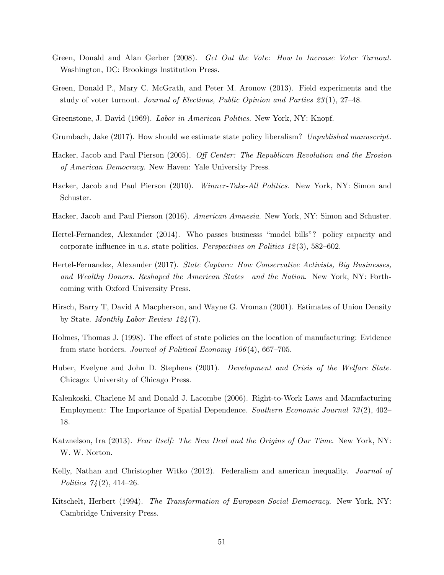- <span id="page-51-15"></span>Green, Donald and Alan Gerber (2008). Get Out the Vote: How to Increase Voter Turnout. Washington, DC: Brookings Institution Press.
- <span id="page-51-14"></span>Green, Donald P., Mary C. McGrath, and Peter M. Aronow (2013). Field experiments and the study of voter turnout. Journal of Elections, Public Opinion and Parties 23 (1), 27–48.
- <span id="page-51-2"></span>Greenstone, J. David (1969). Labor in American Politics. New York, NY: Knopf.
- <span id="page-51-5"></span>Grumbach, Jake (2017). How should we estimate state policy liberalism? Unpublished manuscript.
- <span id="page-51-4"></span>Hacker, Jacob and Paul Pierson (2005). Off Center: The Republican Revolution and the Erosion of American Democracy. New Haven: Yale University Press.
- <span id="page-51-0"></span>Hacker, Jacob and Paul Pierson (2010). Winner-Take-All Politics. New York, NY: Simon and Schuster.
- <span id="page-51-13"></span>Hacker, Jacob and Paul Pierson (2016). American Amnesia. New York, NY: Simon and Schuster.
- <span id="page-51-8"></span>Hertel-Fernandez, Alexander (2014). Who passes businesss "model bills"? policy capacity and corporate influence in u.s. state politics. Perspectives on Politics 12 (3), 582–602.
- <span id="page-51-9"></span>Hertel-Fernandez, Alexander (2017). State Capture: How Conservative Activists, Big Businesses, and Wealthy Donors. Reshaped the American States—and the Nation. New York, NY: Forthcoming with Oxford University Press.
- <span id="page-51-3"></span>Hirsch, Barry T, David A Macpherson, and Wayne G. Vroman (2001). Estimates of Union Density by State. Monthly Labor Review 124 (7).
- <span id="page-51-7"></span>Holmes, Thomas J. (1998). The effect of state policies on the location of manufacturing: Evidence from state borders. Journal of Political Economy 106 (4), 667–705.
- <span id="page-51-11"></span>Huber, Evelyne and John D. Stephens (2001). Development and Crisis of the Welfare State. Chicago: University of Chicago Press.
- <span id="page-51-6"></span>Kalenkoski, Charlene M and Donald J. Lacombe (2006). Right-to-Work Laws and Manufacturing Employment: The Importance of Spatial Dependence. Southern Economic Journal 73 (2), 402– 18.
- <span id="page-51-12"></span>Katznelson, Ira (2013). Fear Itself: The New Deal and the Origins of Our Time. New York, NY: W. W. Norton.
- <span id="page-51-10"></span>Kelly, Nathan and Christopher Witko (2012). Federalism and american inequality. Journal of Politics  $74(2)$ , 414–26.
- <span id="page-51-1"></span>Kitschelt, Herbert (1994). The Transformation of European Social Democracy. New York, NY: Cambridge University Press.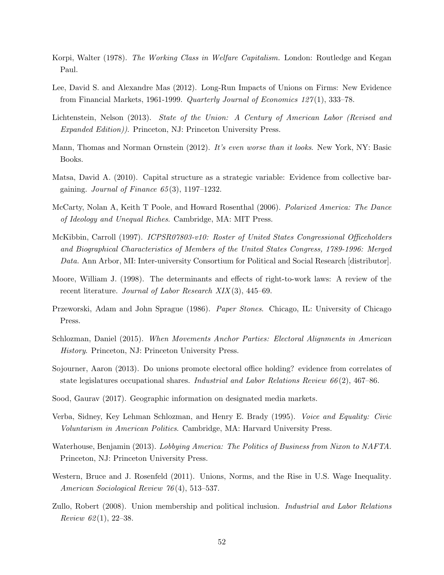- <span id="page-52-11"></span>Korpi, Walter (1978). The Working Class in Welfare Capitalism. London: Routledge and Kegan Paul.
- <span id="page-52-1"></span>Lee, David S. and Alexandre Mas (2012). Long-Run Impacts of Unions on Firms: New Evidence from Financial Markets, 1961-1999. Quarterly Journal of Economics 127 (1), 333–78.
- <span id="page-52-0"></span>Lichtenstein, Nelson (2013). State of the Union: A Century of American Labor (Revised and Expanded Edition)). Princeton, NJ: Princeton University Press.
- <span id="page-52-6"></span>Mann, Thomas and Norman Ornstein (2012). It's even worse than it looks. New York, NY: Basic Books.
- <span id="page-52-8"></span>Matsa, David A. (2010). Capital structure as a strategic variable: Evidence from collective bargaining. Journal of Finance  $65(3)$ , 1197–1232.
- <span id="page-52-5"></span>McCarty, Nolan A, Keith T Poole, and Howard Rosenthal (2006). Polarized America: The Dance of Ideology and Unequal Riches. Cambridge, MA: MIT Press.
- <span id="page-52-10"></span>McKibbin, Carroll (1997). ICPSR07803-v10: Roster of United States Congressional Officeholders and Biographical Characteristics of Members of the United States Congress, 1789-1996: Merged Data. Ann Arbor, MI: Inter-university Consortium for Political and Social Research [distributor].
- <span id="page-52-7"></span>Moore, William J. (1998). The determinants and effects of right-to-work laws: A review of the recent literature. Journal of Labor Research XIX (3), 445–69.
- <span id="page-52-4"></span>Przeworski, Adam and John Sprague (1986). Paper Stones. Chicago, IL: University of Chicago Press.
- <span id="page-52-3"></span>Schlozman, Daniel (2015). When Movements Anchor Parties: Electoral Alignments in American History. Princeton, NJ: Princeton University Press.
- <span id="page-52-14"></span>Sojourner, Aaron (2013). Do unions promote electoral office holding? evidence from correlates of state legislatures occupational shares. *Industrial and Labor Relations Review 66* $(2)$ , 467–86.
- <span id="page-52-15"></span>Sood, Gaurav (2017). Geographic information on designated media markets.
- <span id="page-52-12"></span>Verba, Sidney, Key Lehman Schlozman, and Henry E. Brady (1995). Voice and Equality: Civic Voluntarism in American Politics. Cambridge, MA: Harvard University Press.
- <span id="page-52-13"></span>Waterhouse, Benjamin (2013). Lobbying America: The Politics of Business from Nixon to NAFTA. Princeton, NJ: Princeton University Press.
- <span id="page-52-2"></span>Western, Bruce and J. Rosenfeld (2011). Unions, Norms, and the Rise in U.S. Wage Inequality. American Sociological Review 76 (4), 513–537.
- <span id="page-52-9"></span>Zullo, Robert (2008). Union membership and political inclusion. Industrial and Labor Relations Review  $62(1), 22-38.$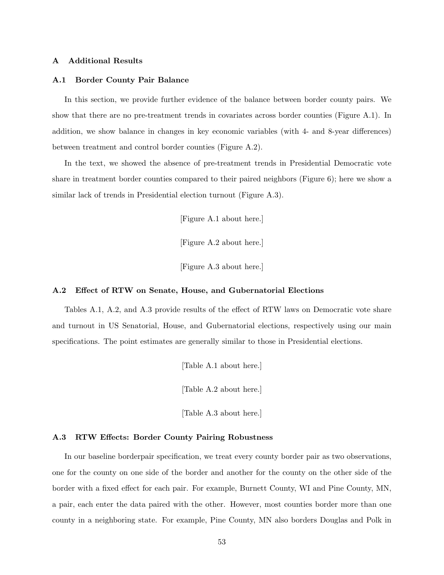### A Additional Results

#### A.1 Border County Pair Balance

In this section, we provide further evidence of the balance between border county pairs. We show that there are no pre-treatment trends in covariates across border counties (Figure [A.1\)](#page-57-0). In addition, we show balance in changes in key economic variables (with 4- and 8-year differences) between treatment and control border counties (Figure [A.2\)](#page-58-0).

In the text, we showed the absence of pre-treatment trends in Presidential Democratic vote share in treatment border counties compared to their paired neighbors (Figure [6\)](#page-36-0); here we show a similar lack of trends in Presidential election turnout (Figure [A.3\)](#page-59-0).

[Figure A.1 about here.]

[Figure A.2 about here.]

[Figure A.3 about here.]

#### A.2 Effect of RTW on Senate, House, and Gubernatorial Elections

Tables [A.1,](#page-64-0) [A.2,](#page-65-0) and [A.3](#page-66-0) provide results of the effect of RTW laws on Democratic vote share and turnout in US Senatorial, House, and Gubernatorial elections, respectively using our main specifications. The point estimates are generally similar to those in Presidential elections.

[Table A.1 about here.]

[Table A.2 about here.]

[Table A.3 about here.]

#### A.3 RTW Effects: Border County Pairing Robustness

In our baseline borderpair specification, we treat every county border pair as two observations, one for the county on one side of the border and another for the county on the other side of the border with a fixed effect for each pair. For example, Burnett County, WI and Pine County, MN, a pair, each enter the data paired with the other. However, most counties border more than one county in a neighboring state. For example, Pine County, MN also borders Douglas and Polk in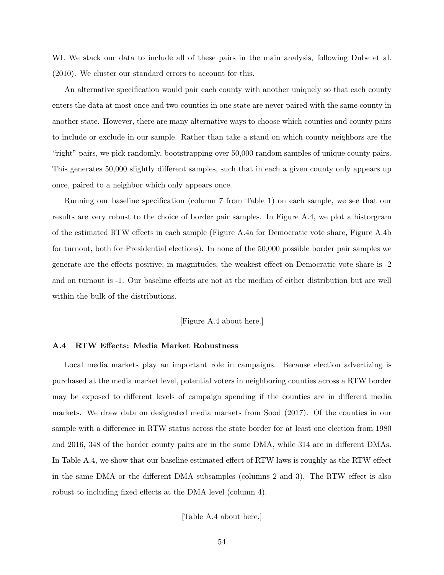WI. We stack our data to include all of these pairs in the main analysis, following [Dube et al.](#page-50-13) [\(2010\)](#page-50-13). We cluster our standard errors to account for this.

An alternative specification would pair each county with another uniquely so that each county enters the data at most once and two counties in one state are never paired with the same county in another state. However, there are many alternative ways to choose which counties and county pairs to include or exclude in our sample. Rather than take a stand on which county neighbors are the "right" pairs, we pick randomly, bootstrapping over 50,000 random samples of unique county pairs. This generates 50,000 slightly different samples, such that in each a given county only appears up once, paired to a neighbor which only appears once.

Running our baseline specification (column 7 from Table [1\)](#page-41-0) on each sample, we see that our results are very robust to the choice of border pair samples. In Figure [A.4,](#page-60-0) we plot a historgram of the estimated RTW effects in each sample (Figure [A.4a](#page-60-0) for Democratic vote share, Figure [A.4b](#page-60-0) for turnout, both for Presidential elections). In none of the 50,000 possible border pair samples we generate are the effects positive; in magnitudes, the weakest effect on Democratic vote share is -2 and on turnout is -1. Our baseline effects are not at the median of either distribution but are well within the bulk of the distributions.

# [Figure A.4 about here.]

## A.4 RTW Effects: Media Market Robustness

Local media markets play an important role in campaigns. Because election advertizing is purchased at the media market level, potential voters in neighboring counties across a RTW border may be exposed to different levels of campaign spending if the counties are in different media markets. We draw data on designated media markets from [Sood](#page-52-15) [\(2017\)](#page-52-15). Of the counties in our sample with a difference in RTW status across the state border for at least one election from 1980 and 2016, 348 of the border county pairs are in the same DMA, while 314 are in different DMAs. In Table [A.4,](#page-67-0) we show that our baseline estimated effect of RTW laws is roughly as the RTW effect in the same DMA or the different DMA subsamples (columns 2 and 3). The RTW effect is also robust to including fixed effects at the DMA level (column 4).

[Table A.4 about here.]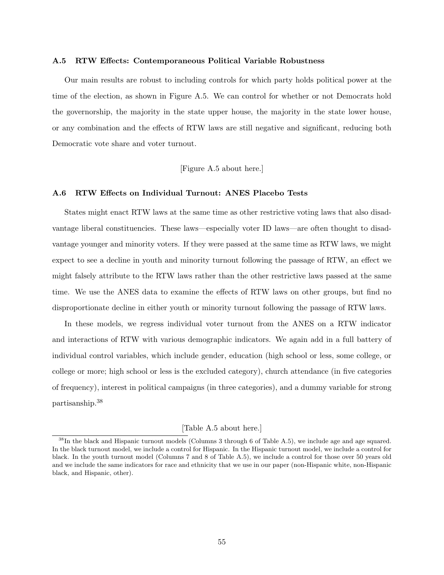#### A.5 RTW Effects: Contemporaneous Political Variable Robustness

Our main results are robust to including controls for which party holds political power at the time of the election, as shown in Figure [A.5.](#page-61-0) We can control for whether or not Democrats hold the governorship, the majority in the state upper house, the majority in the state lower house, or any combination and the effects of RTW laws are still negative and significant, reducing both Democratic vote share and voter turnout.

[Figure A.5 about here.]

## A.6 RTW Effects on Individual Turnout: ANES Placebo Tests

States might enact RTW laws at the same time as other restrictive voting laws that also disadvantage liberal constituencies. These laws—especially voter ID laws—are often thought to disadvantage younger and minority voters. If they were passed at the same time as RTW laws, we might expect to see a decline in youth and minority turnout following the passage of RTW, an effect we might falsely attribute to the RTW laws rather than the other restrictive laws passed at the same time. We use the ANES data to examine the effects of RTW laws on other groups, but find no disproportionate decline in either youth or minority turnout following the passage of RTW laws.

In these models, we regress individual voter turnout from the ANES on a RTW indicator and interactions of RTW with various demographic indicators. We again add in a full battery of individual control variables, which include gender, education (high school or less, some college, or college or more; high school or less is the excluded category), church attendance (in five categories of frequency), interest in political campaigns (in three categories), and a dummy variable for strong partisanship.[38](#page-55-0)

# [Table A.5 about here.]

<span id="page-55-0"></span><sup>&</sup>lt;sup>38</sup>In the black and Hispanic turnout models (Columns 3 through 6 of Table [A.5\)](#page-68-0), we include age and age squared. In the black turnout model, we include a control for Hispanic. In the Hispanic turnout model, we include a control for black. In the youth turnout model (Columns 7 and 8 of Table [A.5\)](#page-68-0), we include a control for those over 50 years old and we include the same indicators for race and ethnicity that we use in our paper (non-Hispanic white, non-Hispanic black, and Hispanic, other).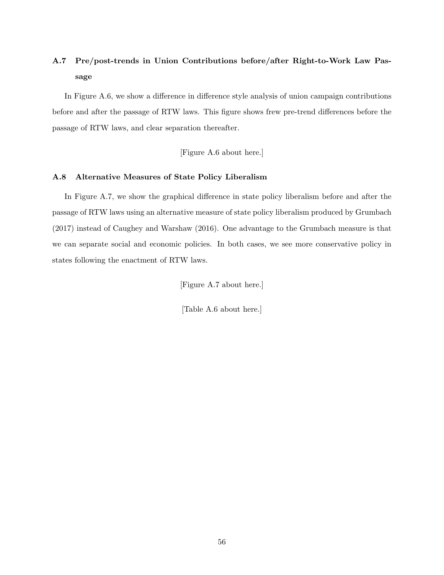# A.7 Pre/post-trends in Union Contributions before/after Right-to-Work Law Passage

In Figure [A.6,](#page-62-0) we show a difference in difference style analysis of union campaign contributions before and after the passage of RTW laws. This figure shows frew pre-trend differences before the passage of RTW laws, and clear separation thereafter.

[Figure A.6 about here.]

## A.8 Alternative Measures of State Policy Liberalism

In Figure [A.7,](#page-63-0) we show the graphical difference in state policy liberalism before and after the passage of RTW laws using an alternative measure of state policy liberalism produced by [Grumbach](#page-51-5) [\(2017\)](#page-51-5) instead of [Caughey and Warshaw](#page-49-4) [\(2016\)](#page-49-4). One advantage to the Grumbach measure is that we can separate social and economic policies. In both cases, we see more conservative policy in states following the enactment of RTW laws.

[Figure A.7 about here.]

[Table A.6 about here.]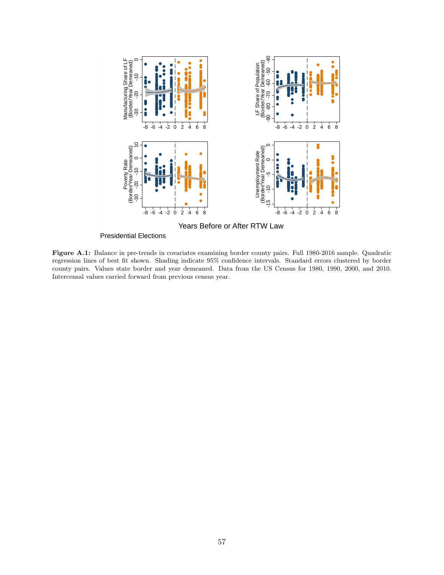<span id="page-57-0"></span>

Presidential Elections

Figure A.1: Balance in pre-trends in covariates examining border county pairs. Full 1980-2016 sample. Quadratic regression lines of best fit shown. Shading indicate 95% confidence intervals. Standard errors clustered by border county pairs. Values state border and year demeaned. Data from the US Census for 1980, 1990, 2000, and 2010. Intercensal values carried forward from previous census year.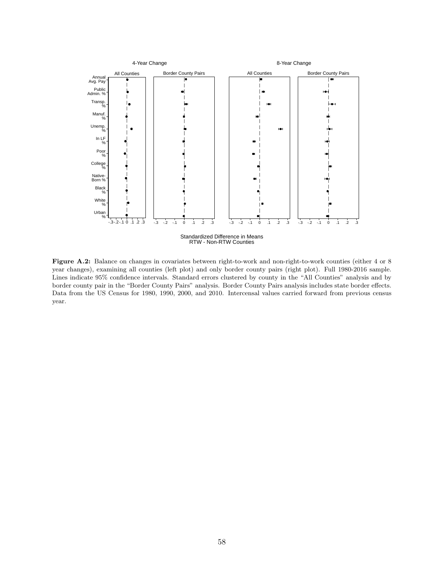<span id="page-58-0"></span>

Figure A.2: Balance on changes in covariates between right-to-work and non-right-to-work counties (either 4 or 8 year changes), examining all counties (left plot) and only border county pairs (right plot). Full 1980-2016 sample. Lines indicate 95% confidence intervals. Standard errors clustered by county in the "All Counties" analysis and by border county pair in the "Border County Pairs" analysis. Border County Pairs analysis includes state border effects. Data from the US Census for 1980, 1990, 2000, and 2010. Intercensal values carried forward from previous census year.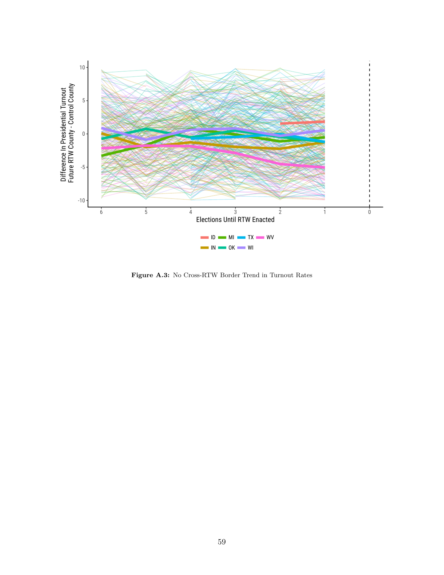<span id="page-59-0"></span>

Figure A.3: No Cross-RTW Border Trend in Turnout Rates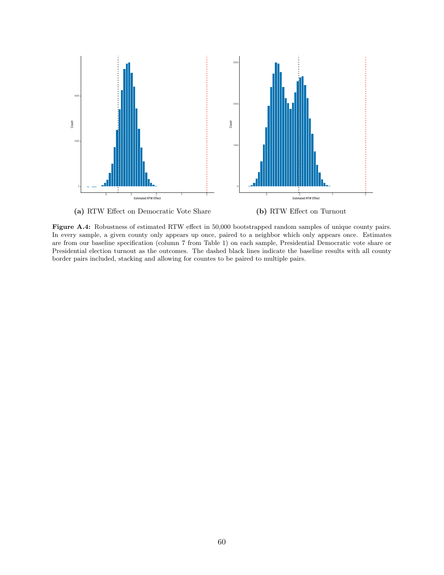<span id="page-60-0"></span>

Figure A.4: Robustness of estimated RTW effect in 50,000 bootstrapped random samples of unique county pairs.

In every sample, a given county only appears up once, paired to a neighbor which only appears once. Estimates are from our baseline specification (column 7 from Table [1\)](#page-41-0) on each sample, Presidential Democratic vote share or Presidential election turnout as the outcomes. The dashed black lines indicate the baseline results with all county border pairs included, stacking and allowing for countes to be paired to multiple pairs.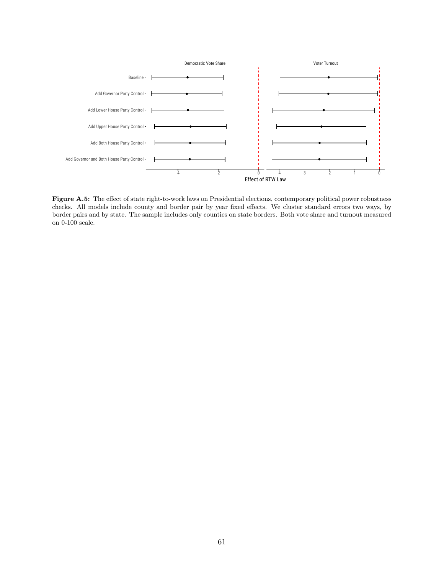<span id="page-61-0"></span>

Figure A.5: The effect of state right-to-work laws on Presidential elections, contemporary political power robustness checks. All models include county and border pair by year fixed effects. We cluster standard errors two ways, by border pairs and by state. The sample includes only counties on state borders. Both vote share and turnout measured on 0-100 scale.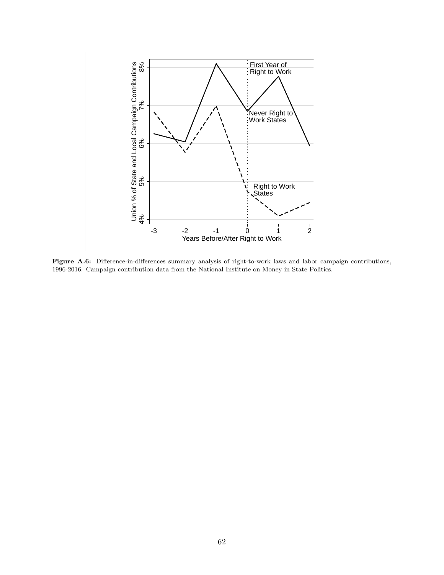<span id="page-62-0"></span>

Figure A.6: Difference-in-differences summary analysis of right-to-work laws and labor campaign contributions, 1996-2016. Campaign contribution data from the National Institute on Money in State Politics.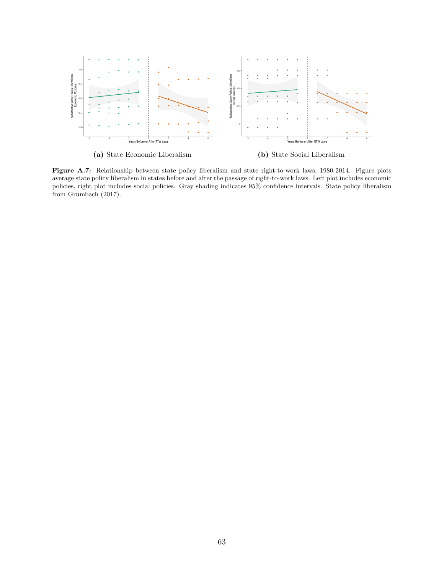<span id="page-63-0"></span>

(a) State Economic Liberalism

(b) State Social Liberalism

Figure A.7: Relationship between state policy liberalism and state right-to-work laws, 1980-2014. Figure plots average state policy liberalism in states before and after the passage of right-to-work laws. Left plot includes economic policies, right plot includes social policies. Gray shading indicates 95% confidence intervals. State policy liberalism from [Grumbach](#page-51-5) [\(2017\)](#page-51-5).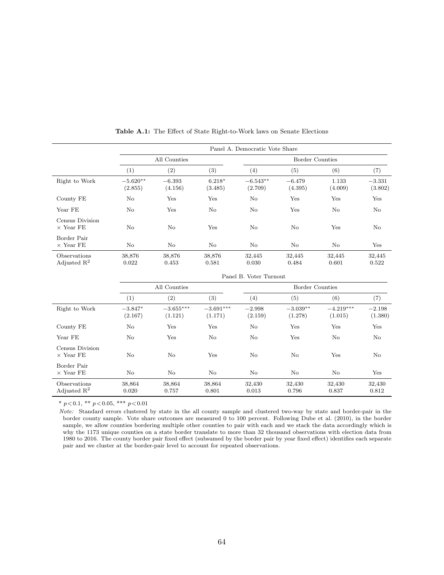<span id="page-64-0"></span>

|                                         |                        |                                    |                        | Panel A. Democratic Vote Share |                        |                        |                     |  |  |  |
|-----------------------------------------|------------------------|------------------------------------|------------------------|--------------------------------|------------------------|------------------------|---------------------|--|--|--|
|                                         |                        | All Counties                       |                        |                                | <b>Border Counties</b> |                        |                     |  |  |  |
|                                         | (1)                    | (2)                                | (3)                    | (4)                            | (5)                    | (6)                    | (7)                 |  |  |  |
| Right to Work                           | $-5.620**$<br>(2.855)  | $-6.393$<br>(4.156)                | $6.218*$<br>(3.485)    | $-6.543**$<br>(2.709)          | $-6.479$<br>(4.395)    | 1.133<br>(4.009)       | $-3.331$<br>(3.802) |  |  |  |
| County FE                               | No                     | Yes                                | Yes                    | No                             | Yes                    | Yes                    | Yes                 |  |  |  |
| Year FE                                 | No                     | Yes                                | No                     | No                             | Yes                    | No                     | No                  |  |  |  |
| Census Division<br>$\times$ Year FE     | No                     | N <sub>o</sub>                     | Yes                    | No                             | No                     | Yes                    | No                  |  |  |  |
| Border Pair<br>$\times$ Year FE         | No                     | No                                 | No                     | No                             | No                     | No                     | Yes                 |  |  |  |
| Observations<br>Adjusted $\mathbb{R}^2$ | 38,876<br>0.022        | 38,876<br>0.453                    | 38,876<br>0.581        | 32,445<br>0.030                | 32,445<br>0.484        | 32,445<br>0.601        | 32,445<br>0.522     |  |  |  |
|                                         | Panel B. Voter Turnout |                                    |                        |                                |                        |                        |                     |  |  |  |
|                                         |                        | All Counties                       |                        | <b>Border Counties</b>         |                        |                        |                     |  |  |  |
|                                         | (1)                    | (2)                                | (3)                    | (4)                            | (5)                    | (6)                    | (7)                 |  |  |  |
| Right to Work                           | $-3.847*$<br>(2.167)   | $-3.655^{\ast\ast\ast}$<br>(1.121) | $-3.691***$<br>(1.171) | $-2.998$<br>(2.159)            | $-3.039**$<br>(1.278)  | $-4.219***$<br>(1.015) | $-2.198$<br>(1.380) |  |  |  |
| County FE                               | No                     | Yes                                | Yes                    | No                             | Yes                    | Yes                    | Yes                 |  |  |  |
| Year FE                                 | No                     | Yes                                | No                     | No                             | Yes                    | No                     | No                  |  |  |  |
| Census Division<br>$\times$ Year FE     | No                     | No                                 | Yes                    | No                             | No                     | Yes                    | No                  |  |  |  |
| Border Pair<br>$\times$ Year FE         | No                     | No                                 | No                     | No                             | No                     | No                     | Yes                 |  |  |  |

Table A.1: The Effect of State Right-to-Work laws on Senate Elections

Note: Standard errors clustered by state in the all county sample and clustered two-way by state and border-pair in the border county sample. Vote share outcomes are measured 0 to 100 percent. Following [Dube et al.](#page-50-13) [\(2010\)](#page-50-13), in the border sample, we allow counties bordering multiple other counties to pair with each and we stack the data accordingly which is why the 1173 unique counties on a state border translate to more than 32 thousand observations with election data from 1980 to 2016. The county border pair fixed effect (subsumed by the border pair by year fixed effect) identifies each separate pair and we cluster at the border-pair level to account for repeated observations.

 $\mbox{Observations} \qquad \qquad 38,864 \qquad \qquad 38,864 \qquad \qquad 38,864 \qquad \qquad 32,430 \qquad \qquad 32,430 \qquad \qquad 32,430 \qquad \qquad 32,430 \qquad \qquad 32,430 \qquad \qquad 32,430 \qquad \qquad 32,430 \qquad \qquad 32,430 \qquad \qquad 32,430 \qquad \qquad 32,430 \qquad \qquad 32,430 \qquad \qquad 32,430 \qquad \qquad 32,430 \qquad \q$ Adjusted R<sup>2</sup> 0.020 0.757 0.801 0.013 0.796 0.837 0.812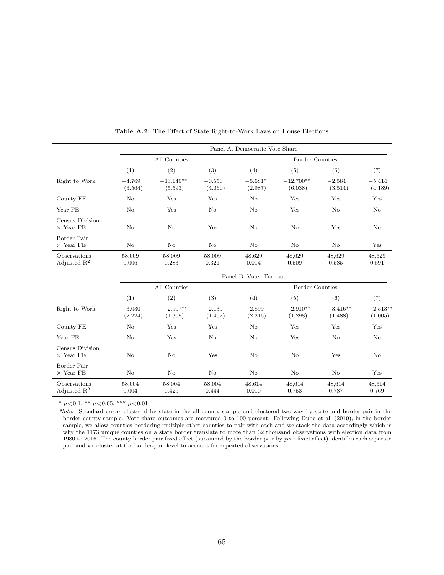<span id="page-65-0"></span>

|                                         |                        |                         |                     | Panel A. Democratic Vote Share |                        |                       |                       |  |  |  |
|-----------------------------------------|------------------------|-------------------------|---------------------|--------------------------------|------------------------|-----------------------|-----------------------|--|--|--|
|                                         |                        | All Counties            |                     |                                | <b>Border Counties</b> |                       |                       |  |  |  |
|                                         | (1)                    | (2)                     | (3)                 | (4)                            | (5)                    | (6)                   | (7)                   |  |  |  |
| Right to Work                           | $-4.769$<br>(3.564)    | $-13.149***$<br>(5.593) | $-0.550$<br>(4.060) | $-5.681*$<br>(2.987)           | $-12.700**$<br>(6.038) | $-2.584$<br>(3.514)   | $-5.414$<br>(4.189)   |  |  |  |
| County FE                               | No                     | Yes                     | Yes                 | No                             | Yes                    | Yes                   | Yes                   |  |  |  |
| Year FE                                 | No                     | Yes                     | No                  | No                             | Yes                    | No                    | No                    |  |  |  |
| Census Division<br>$\times$ Year FE     | No                     | No                      | Yes                 | No                             | No                     | Yes                   | No                    |  |  |  |
| Border Pair<br>$\times$ Year FE         | No                     | No                      | No                  | No                             | No                     | No                    | Yes                   |  |  |  |
| Observations<br>Adjusted $\mathbf{R}^2$ | 58,009<br>0.006        | 58,009<br>0.283         | 58,009<br>0.321     | 48,629<br>0.014                | 48,629<br>0.509        | 48,629<br>0.585       | 48,629<br>0.591       |  |  |  |
|                                         | Panel B. Voter Turnout |                         |                     |                                |                        |                       |                       |  |  |  |
|                                         | All Counties           |                         |                     |                                | Border Counties        |                       |                       |  |  |  |
|                                         | (1)                    | (2)                     | (3)                 | (4)                            | (5)                    | (6)                   | (7)                   |  |  |  |
| Right to Work                           | $-3.030$<br>(2.224)    | $-2.907**$<br>(1.369)   | $-2.139$<br>(1.462) | $-2.899$<br>(2.216)            | $-2.910**$<br>(1.298)  | $-3.416**$<br>(1.488) | $-2.513**$<br>(1.005) |  |  |  |
| County FE                               | No                     | Yes                     | Yes                 | No                             | Yes                    | Yes                   | Yes                   |  |  |  |
| Year FE                                 | No                     | Yes                     | No                  | No                             | Yes                    | No                    | No                    |  |  |  |
| Census Division<br>$\times$ Year FE     | No                     | No                      | Yes                 | No                             | No                     | Yes                   | No                    |  |  |  |
| Border Pair<br>$\times$ Year FE         | No                     | No                      | No                  | No                             | No                     | No                    | Yes                   |  |  |  |
| Observations<br>Adjusted $\mathbb{R}^2$ | 58,004<br>0.004        | 58,004<br>0.429         | 58,004<br>0.444     | 48,614<br>0.010                | 48,614<br>0.753        | 48,614<br>0.787       | 48,614<br>0.769       |  |  |  |

Table A.2: The Effect of State Right-to-Work Laws on House Elections

Note: Standard errors clustered by state in the all county sample and clustered two-way by state and border-pair in the border county sample. Vote share outcomes are measured 0 to 100 percent. Following [Dube et al.](#page-50-13) [\(2010\)](#page-50-13), in the border sample, we allow counties bordering multiple other counties to pair with each and we stack the data accordingly which is why the 1173 unique counties on a state border translate to more than 32 thousand observations with election data from 1980 to 2016. The county border pair fixed effect (subsumed by the border pair by year fixed effect) identifies each separate pair and we cluster at the border-pair level to account for repeated observations.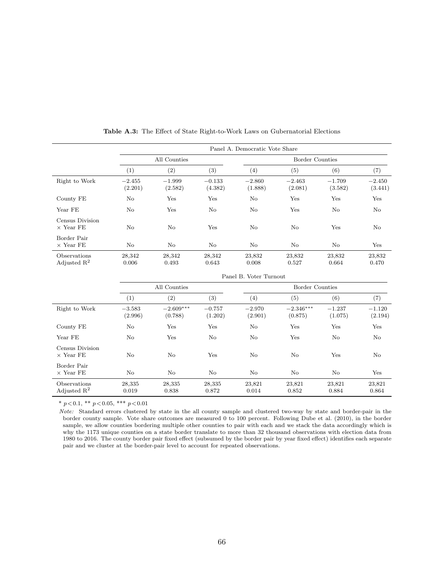<span id="page-66-0"></span>

|                                         | Panel A. Democratic Vote Share |                        |                     |                        |                        |                     |                     |  |  |
|-----------------------------------------|--------------------------------|------------------------|---------------------|------------------------|------------------------|---------------------|---------------------|--|--|
|                                         | All Counties                   |                        |                     | <b>Border Counties</b> |                        |                     |                     |  |  |
|                                         | (1)                            | (2)                    | (3)                 | (4)                    | (5)                    | (6)                 | (7)                 |  |  |
| Right to Work                           | $-2.455$<br>(2.201)            | $-1.999$<br>(2.582)    | $-0.133$<br>(4.382) | $-2.860$<br>(1.888)    | $-2.463$<br>(2.081)    | $-1.709$<br>(3.582) | $-2.450$<br>(3.441) |  |  |
| County FE                               | No                             | Yes                    | Yes                 | No                     | Yes                    | Yes                 | Yes                 |  |  |
| Year FE                                 | No                             | Yes                    | $\rm No$            | No                     | Yes                    | No                  | No                  |  |  |
| Census Division<br>$\times$ Year FE     | No                             | $\rm No$               | Yes                 | No                     | No                     | Yes                 | No                  |  |  |
| Border Pair<br>$\times$ Year FE         | $\rm No$                       | No                     | $\rm No$            | No                     | No                     | No                  | Yes                 |  |  |
| Observations<br>Adjusted $\mathbf{R}^2$ | 28,342<br>0.006                | 28,342<br>0.493        | 28,342<br>0.643     | 23,832<br>0.008        | 23,832<br>0.527        | 23,832<br>0.664     | 23,832<br>0.470     |  |  |
|                                         | Panel B. Voter Turnout         |                        |                     |                        |                        |                     |                     |  |  |
|                                         | All Counties                   |                        |                     | <b>Border Counties</b> |                        |                     |                     |  |  |
|                                         | (1)                            | (2)                    | (3)                 | (4)                    | (5)                    | (6)                 | (7)                 |  |  |
| Right to Work                           | $-3.583$<br>(2.996)            | $-2.609***$<br>(0.788) | $-0.757$<br>(1.202) | $-2.970$<br>(2.901)    | $-2.346***$<br>(0.875) | $-1.237$<br>(1.075) | $-1.120$<br>(2.194) |  |  |
| County FE                               | No                             | Yes                    | Yes                 | No                     | Yes                    | Yes                 | Yes                 |  |  |
| Year FE                                 | No                             | Yes                    | $\rm No$            | $\rm No$               | Yes                    | No                  | No                  |  |  |
| Census Division<br>$\times$ Year FE     | No                             | No                     | Yes                 | No                     | No                     | Yes                 | No                  |  |  |
| Border Pair<br>$\times$ Year FE         | No                             | No                     | $\rm No$            | $\rm No$               | No                     | No                  | Yes                 |  |  |

Table A.3: The Effect of State Right-to-Work Laws on Gubernatorial Elections

Note: Standard errors clustered by state in the all county sample and clustered two-way by state and border-pair in the border county sample. Vote share outcomes are measured 0 to 100 percent. Following [Dube et al.](#page-50-13) [\(2010\)](#page-50-13), in the border sample, we allow counties bordering multiple other counties to pair with each and we stack the data accordingly which is why the 1173 unique counties on a state border translate to more than 32 thousand observations with election data from 1980 to 2016. The county border pair fixed effect (subsumed by the border pair by year fixed effect) identifies each separate pair and we cluster at the border-pair level to account for repeated observations.

 $\mbox{Observations} \qquad \qquad 28,335 \qquad \qquad 28,335 \qquad \qquad 28,335 \qquad \qquad 23,821 \qquad \qquad 23,821 \qquad \qquad 23,821 \qquad \qquad 23,821 \qquad \qquad 23,821 \qquad \qquad 23,821 \qquad \qquad 23,821 \qquad \qquad 23,821 \qquad \qquad 23,821 \qquad \qquad 23,821 \qquad \qquad 23,821 \qquad \qquad 23,821 \qquad \qquad 23,821 \qquad \q$ Adjusted R<sup>2</sup> 0.019 0.838 0.872 0.014 0.852 0.884 0.864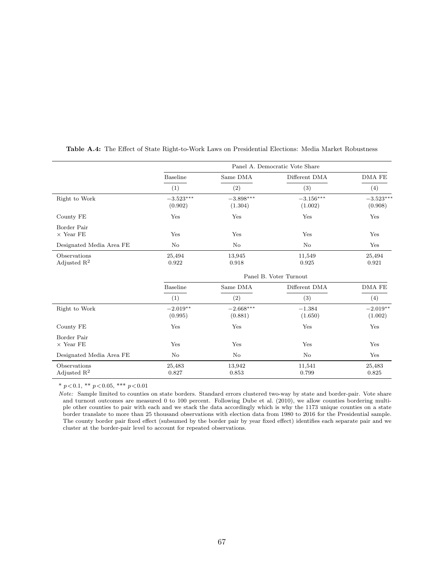|                                         | Panel A. Democratic Vote Share     |                        |                                    |                        |  |  |  |  |
|-----------------------------------------|------------------------------------|------------------------|------------------------------------|------------------------|--|--|--|--|
|                                         | Baseline                           | Same DMA               | Different DMA                      | DMA FE                 |  |  |  |  |
|                                         | (1)                                | (2)                    | (3)                                | (4)                    |  |  |  |  |
| Right to Work                           | $-3.523^{\ast\ast\ast}$<br>(0.902) | $-3.898***$<br>(1.304) | $-3.156^{\ast\ast\ast}$<br>(1.002) | $-3.523***$<br>(0.908) |  |  |  |  |
| County FE                               | Yes                                | Yes                    | Yes                                | Yes                    |  |  |  |  |
| Border Pair<br>$\times$ Year FE         | Yes                                | Yes                    | Yes                                | Yes                    |  |  |  |  |
| Designated Media Area FE                | No                                 | No                     | N <sub>o</sub>                     | Yes                    |  |  |  |  |
| Observations<br>Adjusted $R^2$          | 25,494<br>0.922                    | 13,945<br>0.918        | 11,549<br>0.925                    | 25,494<br>0.921        |  |  |  |  |
|                                         | Panel B. Voter Turnout             |                        |                                    |                        |  |  |  |  |
|                                         | <b>Baseline</b>                    | Same DMA               | Different DMA                      | DMA FE                 |  |  |  |  |
|                                         | (1)                                | (2)                    | (3)                                | (4)                    |  |  |  |  |
| Right to Work                           | $-2.019**$<br>(0.995)              | $-2.668***$<br>(0.881) | $-1.384$<br>(1.650)                | $-2.019**$<br>(1.002)  |  |  |  |  |
| County FE                               | Yes                                | Yes                    | Yes                                | Yes                    |  |  |  |  |
| Border Pair<br>$\times$ Year FE         | Yes                                | Yes                    | Yes                                | Yes                    |  |  |  |  |
| Designated Media Area FE                | No                                 | No                     | N <sub>o</sub>                     | Yes                    |  |  |  |  |
| Observations<br>Adjusted $\mathbb{R}^2$ | 25,483<br>0.827                    | 13,942<br>0.853        | 11,541<br>0.799                    | 25,483<br>0.825        |  |  |  |  |

<span id="page-67-0"></span>Table A.4: The Effect of State Right-to-Work Laws on Presidential Elections: Media Market Robustness

\* $p\!<\!0.1,$ \*\* $p\!<\!0.05,$ \*\*\* $p\!<\!0.01$ 

Note: Sample limited to counties on state borders. Standard errors clustered two-way by state and border-pair. Vote share and turnout outcomes are measured 0 to 100 percent. Following [Dube et al.](#page-50-13) [\(2010\)](#page-50-13), we allow counties bordering multiple other counties to pair with each and we stack the data accordingly which is why the 1173 unique counties on a state border translate to more than 25 thousand observations with election data from 1980 to 2016 for the Presidential sample. The county border pair fixed effect (subsumed by the border pair by year fixed effect) identifies each separate pair and we cluster at the border-pair level to account for repeated observations.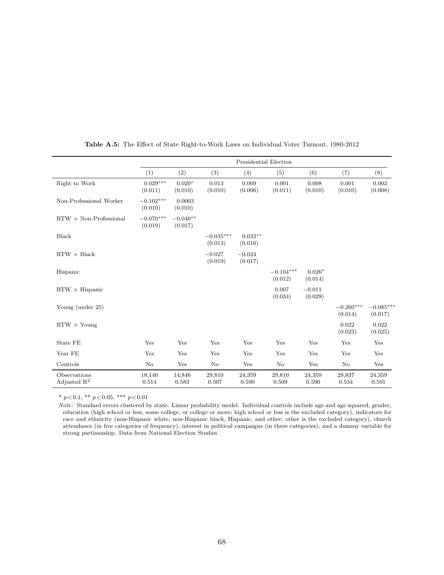<span id="page-68-0"></span>

|                                         | Presidential Election  |                       |                        |                      |                        |                     |                        |                        |
|-----------------------------------------|------------------------|-----------------------|------------------------|----------------------|------------------------|---------------------|------------------------|------------------------|
|                                         | (1)                    | (2)                   | (3)                    | (4)                  | (5)                    | (6)                 | (7)                    | (8)                    |
| Right to Work                           | $0.029***$<br>(0.011)  | $0.020*$<br>(0.010)   | 0.013<br>(0.010)       | 0.009<br>(0.006)     | 0.001<br>(0.011)       | 0.008<br>(0.010)    | 0.001<br>(0.010)       | 0.002<br>(0.008)       |
| Non-Professional Worker                 | $-0.102***$<br>(0.010) | 0.0003<br>(0.010)     |                        |                      |                        |                     |                        |                        |
| $RTW \times Non-Professional$           | $-0.070***$<br>(0.019) | $-0.040**$<br>(0.017) |                        |                      |                        |                     |                        |                        |
| Black                                   |                        |                       | $-0.035***$<br>(0.013) | $0.033**$<br>(0.016) |                        |                     |                        |                        |
| $RTW \times Black$                      |                        |                       | $-0.027$<br>(0.019)    | $-0.024$<br>(0.017)  |                        |                     |                        |                        |
| Hispanic                                |                        |                       |                        |                      | $-0.104***$<br>(0.012) | $0.026*$<br>(0.014) |                        |                        |
| $RTW \times Hispanic$                   |                        |                       |                        |                      | 0.007<br>(0.034)       | $-0.011$<br>(0.029) |                        |                        |
| Young (under 25)                        |                        |                       |                        |                      |                        |                     | $-0.260***$<br>(0.014) | $-0.085***$<br>(0.017) |
| $RTW \times Young$                      |                        |                       |                        |                      |                        |                     | 0.022<br>(0.023)       | 0.022<br>(0.025)       |
| State FE                                | Yes                    | Yes                   | Yes                    | Yes                  | Yes                    | Yes                 | Yes                    | Yes                    |
| Year FE                                 | Yes                    | Yes                   | Yes                    | Yes                  | Yes                    | Yes                 | Yes                    | Yes                    |
| Controls                                | No                     | Yes                   | No                     | Yes                  | No                     | Yes                 | No                     | Yes                    |
| Observations<br>Adjusted $\mathbb{R}^2$ | 18,140<br>0.514        | 14,846<br>0.583       | 29,810<br>0.507        | 24,359<br>0.590      | 29,810<br>0.509        | 24,359<br>0.590     | 29,837<br>0.534        | 24,359<br>0.591        |

Table A.5: The Effect of State Right-to-Work Laws on Individual Voter Turnout, 1980-2012

Note: Standard errors clustered by state. Linear probability model. Individual controls include age and age squared, gender, education (high school or less, some college, or college or more; high school or less is the excluded category), indicators for race and ethnicity (non-Hispanic white, non-Hispanic black, Hispanic, and other; other is the excluded category), church attendance (in five categories of frequency), interest in political campaigns (in three categories), and a dummy variable for strong partisanship. Data from National Election Studies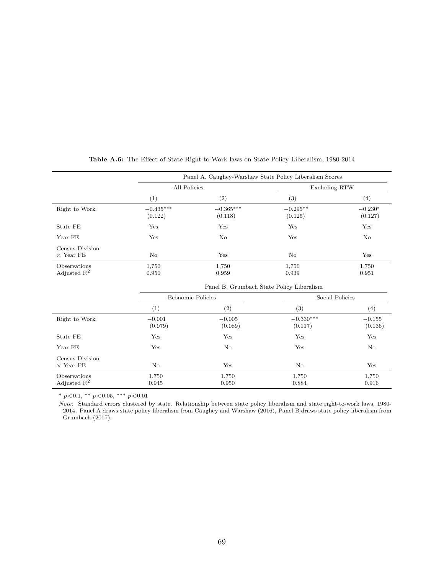<span id="page-69-0"></span>

|                                         |                        | Panel A. Caughey-Warshaw State Policy Liberalism Scores |                                           |                      |  |  |  |
|-----------------------------------------|------------------------|---------------------------------------------------------|-------------------------------------------|----------------------|--|--|--|
|                                         | All Policies           |                                                         | <b>Excluding RTW</b>                      |                      |  |  |  |
|                                         | (1)                    | (2)                                                     | (3)                                       | (4)                  |  |  |  |
| Right to Work                           | $-0.435***$<br>(0.122) | $-0.365***$<br>(0.118)                                  | $-0.295**$<br>(0.125)                     | $-0.230*$<br>(0.127) |  |  |  |
| State FE                                | Yes                    | Yes                                                     | Yes                                       | Yes                  |  |  |  |
| Year FE                                 | Yes                    | No                                                      | Yes                                       | No                   |  |  |  |
| Census Division<br>$\times$ Year FE     | No                     | Yes                                                     | No                                        | Yes                  |  |  |  |
| Observations<br>Adjusted $\mathbb{R}^2$ | 1,750<br>0.950         | 1,750<br>0.959                                          | 1,750<br>0.939                            | 1,750<br>0.951       |  |  |  |
|                                         |                        |                                                         | Panel B. Grumbach State Policy Liberalism |                      |  |  |  |
|                                         | Economic Policies      |                                                         | Social Policies                           |                      |  |  |  |
|                                         | (1)                    | (2)                                                     | (3)                                       | $\left( 4\right)$    |  |  |  |
| Right to Work                           | $-0.001$<br>(0.079)    | $-0.005$<br>(0.089)                                     | $-0.330***$<br>(0.117)                    | $-0.155$<br>(0.136)  |  |  |  |
| State FE                                | Yes                    | Yes                                                     | Yes<br>Yes                                |                      |  |  |  |

# Table A.6: The Effect of State Right-to-Work laws on State Policy Liberalism, 1980-2014

\*  $p < 0.1$ , \*\*  $p < 0.05$ , \*\*\*  $p < 0.01$ 

Census Division $\times$  Year FE

Note: Standard errors clustered by state. Relationship between state policy liberalism and state right-to-work laws, 1980- 2014. Panel A draws state policy liberalism from [Caughey and Warshaw](#page-49-4) [\(2016\)](#page-49-4), Panel B draws state policy liberalism from [Grumbach](#page-51-5) [\(2017\)](#page-51-5).

Year FE Yes No Yes No

× Year FE No Yes No Yes Observations 1,750 1,750 1,750 1,750 1,750 1,750 Adjusted R<sup>2</sup> 0.945 0.945 0.950 0.884 0.916